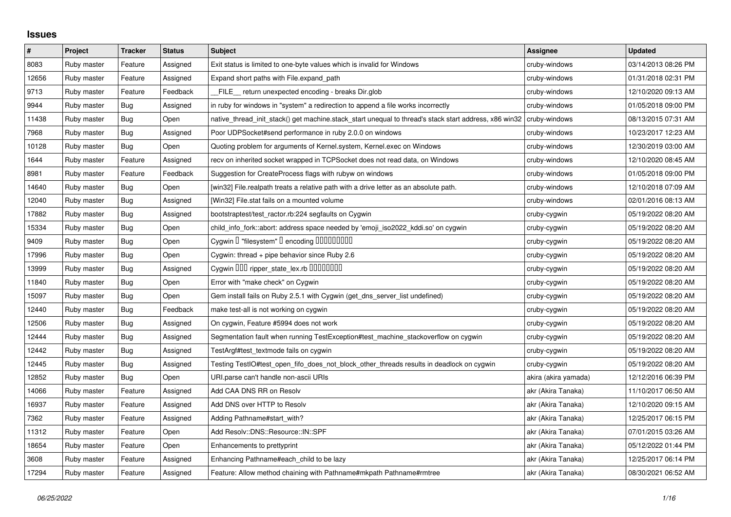## **Issues**

| $\#$  | Project     | <b>Tracker</b> | <b>Status</b> | <b>Subject</b>                                                                                        | <b>Assignee</b>      | <b>Updated</b>      |
|-------|-------------|----------------|---------------|-------------------------------------------------------------------------------------------------------|----------------------|---------------------|
| 8083  | Ruby master | Feature        | Assigned      | Exit status is limited to one-byte values which is invalid for Windows                                | cruby-windows        | 03/14/2013 08:26 PM |
| 12656 | Ruby master | Feature        | Assigned      | Expand short paths with File.expand_path                                                              | cruby-windows        | 01/31/2018 02:31 PM |
| 9713  | Ruby master | Feature        | Feedback      | FILE_ return unexpected encoding - breaks Dir.glob                                                    | cruby-windows        | 12/10/2020 09:13 AM |
| 9944  | Ruby master | <b>Bug</b>     | Assigned      | in ruby for windows in "system" a redirection to append a file works incorrectly                      | cruby-windows        | 01/05/2018 09:00 PM |
| 11438 | Ruby master | <b>Bug</b>     | Open          | native thread init stack() get machine.stack start unequal to thread's stack start address, x86 win32 | cruby-windows        | 08/13/2015 07:31 AM |
| 7968  | Ruby master | <b>Bug</b>     | Assigned      | Poor UDPSocket#send performance in ruby 2.0.0 on windows                                              | cruby-windows        | 10/23/2017 12:23 AM |
| 10128 | Ruby master | Bug            | Open          | Quoting problem for arguments of Kernel.system, Kernel.exec on Windows                                | cruby-windows        | 12/30/2019 03:00 AM |
| 1644  | Ruby master | Feature        | Assigned      | recv on inherited socket wrapped in TCPSocket does not read data, on Windows                          | cruby-windows        | 12/10/2020 08:45 AM |
| 8981  | Ruby master | Feature        | Feedback      | Suggestion for CreateProcess flags with rubyw on windows                                              | cruby-windows        | 01/05/2018 09:00 PM |
| 14640 | Ruby master | Bug            | Open          | [win32] File.realpath treats a relative path with a drive letter as an absolute path.                 | cruby-windows        | 12/10/2018 07:09 AM |
| 12040 | Ruby master | <b>Bug</b>     | Assigned      | [Win32] File.stat fails on a mounted volume                                                           | cruby-windows        | 02/01/2016 08:13 AM |
| 17882 | Ruby master | <b>Bug</b>     | Assigned      | bootstraptest/test_ractor.rb:224 segfaults on Cygwin                                                  | cruby-cygwin         | 05/19/2022 08:20 AM |
| 15334 | Ruby master | Bug            | Open          | child_info_fork::abort: address space needed by 'emoji_iso2022_kddi.so' on cygwin                     | cruby-cygwin         | 05/19/2022 08:20 AM |
| 9409  | Ruby master | <b>Bug</b>     | Open          | Cygwin I "filesystem" I encoding IIIIIIIIIIIII                                                        | cruby-cygwin         | 05/19/2022 08:20 AM |
| 17996 | Ruby master | <b>Bug</b>     | Open          | Cygwin: thread + pipe behavior since Ruby 2.6                                                         | cruby-cygwin         | 05/19/2022 08:20 AM |
| 13999 | Ruby master | Bug            | Assigned      | Cygwin OOO ripper_state_lex.rb 0000000                                                                | cruby-cygwin         | 05/19/2022 08:20 AM |
| 11840 | Ruby master | Bug            | Open          | Error with "make check" on Cygwin                                                                     | cruby-cygwin         | 05/19/2022 08:20 AM |
| 15097 | Ruby master | <b>Bug</b>     | Open          | Gem install fails on Ruby 2.5.1 with Cygwin (get_dns_server_list undefined)                           | cruby-cygwin         | 05/19/2022 08:20 AM |
| 12440 | Ruby master | <b>Bug</b>     | Feedback      | make test-all is not working on cygwin                                                                | cruby-cygwin         | 05/19/2022 08:20 AM |
| 12506 | Ruby master | Bug            | Assigned      | On cygwin, Feature #5994 does not work                                                                | cruby-cygwin         | 05/19/2022 08:20 AM |
| 12444 | Ruby master | <b>Bug</b>     | Assigned      | Segmentation fault when running TestException#test_machine_stackoverflow on cygwin                    | cruby-cygwin         | 05/19/2022 08:20 AM |
| 12442 | Ruby master | <b>Bug</b>     | Assigned      | TestArgf#test_textmode fails on cygwin                                                                | cruby-cygwin         | 05/19/2022 08:20 AM |
| 12445 | Ruby master | Bug            | Assigned      | Testing TestIO#test open fifo does not block other threads results in deadlock on cygwin              | cruby-cygwin         | 05/19/2022 08:20 AM |
| 12852 | Ruby master | <b>Bug</b>     | Open          | URI.parse can't handle non-ascii URIs                                                                 | akira (akira yamada) | 12/12/2016 06:39 PM |
| 14066 | Ruby master | Feature        | Assigned      | Add CAA DNS RR on Resolv                                                                              | akr (Akira Tanaka)   | 11/10/2017 06:50 AM |
| 16937 | Ruby master | Feature        | Assigned      | Add DNS over HTTP to Resolv                                                                           | akr (Akira Tanaka)   | 12/10/2020 09:15 AM |
| 7362  | Ruby master | Feature        | Assigned      | Adding Pathname#start_with?                                                                           | akr (Akira Tanaka)   | 12/25/2017 06:15 PM |
| 11312 | Ruby master | Feature        | Open          | Add Resolv::DNS::Resource::IN::SPF                                                                    | akr (Akira Tanaka)   | 07/01/2015 03:26 AM |
| 18654 | Ruby master | Feature        | Open          | Enhancements to prettyprint                                                                           | akr (Akira Tanaka)   | 05/12/2022 01:44 PM |
| 3608  | Ruby master | Feature        | Assigned      | Enhancing Pathname#each_child to be lazy                                                              | akr (Akira Tanaka)   | 12/25/2017 06:14 PM |
| 17294 | Ruby master | Feature        | Assigned      | Feature: Allow method chaining with Pathname#mkpath Pathname#rmtree                                   | akr (Akira Tanaka)   | 08/30/2021 06:52 AM |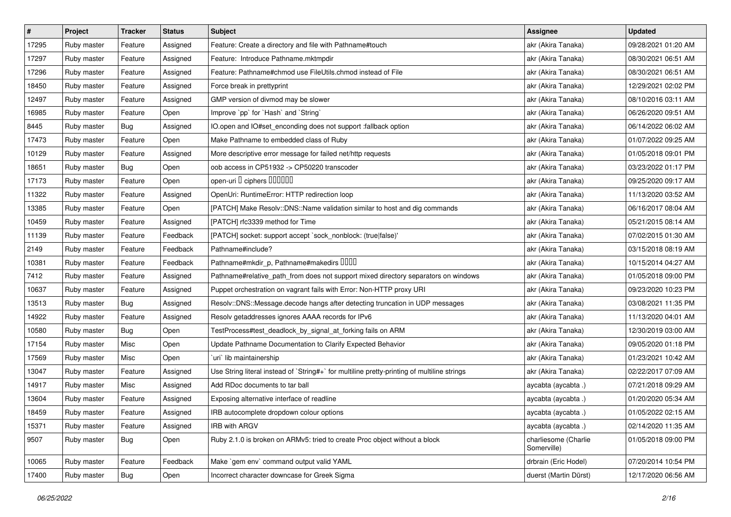| $\pmb{\#}$ | Project     | <b>Tracker</b> | <b>Status</b> | <b>Subject</b>                                                                              | <b>Assignee</b>                     | <b>Updated</b>      |
|------------|-------------|----------------|---------------|---------------------------------------------------------------------------------------------|-------------------------------------|---------------------|
| 17295      | Ruby master | Feature        | Assigned      | Feature: Create a directory and file with Pathname#touch                                    | akr (Akira Tanaka)                  | 09/28/2021 01:20 AM |
| 17297      | Ruby master | Feature        | Assigned      | Feature: Introduce Pathname.mktmpdir                                                        | akr (Akira Tanaka)                  | 08/30/2021 06:51 AM |
| 17296      | Ruby master | Feature        | Assigned      | Feature: Pathname#chmod use FileUtils.chmod instead of File                                 | akr (Akira Tanaka)                  | 08/30/2021 06:51 AM |
| 18450      | Ruby master | Feature        | Assigned      | Force break in prettyprint                                                                  | akr (Akira Tanaka)                  | 12/29/2021 02:02 PM |
| 12497      | Ruby master | Feature        | Assigned      | GMP version of divmod may be slower                                                         | akr (Akira Tanaka)                  | 08/10/2016 03:11 AM |
| 16985      | Ruby master | Feature        | Open          | Improve `pp` for `Hash` and `String`                                                        | akr (Akira Tanaka)                  | 06/26/2020 09:51 AM |
| 8445       | Ruby master | <b>Bug</b>     | Assigned      | IO.open and IO#set_enconding does not support :fallback option                              | akr (Akira Tanaka)                  | 06/14/2022 06:02 AM |
| 17473      | Ruby master | Feature        | Open          | Make Pathname to embedded class of Ruby                                                     | akr (Akira Tanaka)                  | 01/07/2022 09:25 AM |
| 10129      | Ruby master | Feature        | Assigned      | More descriptive error message for failed net/http requests                                 | akr (Akira Tanaka)                  | 01/05/2018 09:01 PM |
| 18651      | Ruby master | Bug            | Open          | oob access in CP51932 -> CP50220 transcoder                                                 | akr (Akira Tanaka)                  | 03/23/2022 01:17 PM |
| 17173      | Ruby master | Feature        | Open          | open-uri I ciphers IIIIIII                                                                  | akr (Akira Tanaka)                  | 09/25/2020 09:17 AM |
| 11322      | Ruby master | Feature        | Assigned      | OpenUri: RuntimeError: HTTP redirection loop                                                | akr (Akira Tanaka)                  | 11/13/2020 03:52 AM |
| 13385      | Ruby master | Feature        | Open          | [PATCH] Make Resolv::DNS::Name validation similar to host and dig commands                  | akr (Akira Tanaka)                  | 06/16/2017 08:04 AM |
| 10459      | Ruby master | Feature        | Assigned      | [PATCH] rfc3339 method for Time                                                             | akr (Akira Tanaka)                  | 05/21/2015 08:14 AM |
| 11139      | Ruby master | Feature        | Feedback      | [PATCH] socket: support accept `sock_nonblock: (true false)'                                | akr (Akira Tanaka)                  | 07/02/2015 01:30 AM |
| 2149       | Ruby master | Feature        | Feedback      | Pathname#include?                                                                           | akr (Akira Tanaka)                  | 03/15/2018 08:19 AM |
| 10381      | Ruby master | Feature        | Feedback      | Pathname#mkdir_p, Pathname#makedirs IIIII                                                   | akr (Akira Tanaka)                  | 10/15/2014 04:27 AM |
| 7412       | Ruby master | Feature        | Assigned      | Pathname#relative_path_from does not support mixed directory separators on windows          | akr (Akira Tanaka)                  | 01/05/2018 09:00 PM |
| 10637      | Ruby master | Feature        | Assigned      | Puppet orchestration on vagrant fails with Error: Non-HTTP proxy URI                        | akr (Akira Tanaka)                  | 09/23/2020 10:23 PM |
| 13513      | Ruby master | <b>Bug</b>     | Assigned      | Resolv::DNS::Message.decode hangs after detecting truncation in UDP messages                | akr (Akira Tanaka)                  | 03/08/2021 11:35 PM |
| 14922      | Ruby master | Feature        | Assigned      | Resolv getaddresses ignores AAAA records for IPv6                                           | akr (Akira Tanaka)                  | 11/13/2020 04:01 AM |
| 10580      | Ruby master | <b>Bug</b>     | Open          | TestProcess#test_deadlock_by_signal_at_forking fails on ARM                                 | akr (Akira Tanaka)                  | 12/30/2019 03:00 AM |
| 17154      | Ruby master | Misc           | Open          | Update Pathname Documentation to Clarify Expected Behavior                                  | akr (Akira Tanaka)                  | 09/05/2020 01:18 PM |
| 17569      | Ruby master | Misc           | Open          | uri lib maintainership                                                                      | akr (Akira Tanaka)                  | 01/23/2021 10:42 AM |
| 13047      | Ruby master | Feature        | Assigned      | Use String literal instead of `String#+` for multiline pretty-printing of multiline strings | akr (Akira Tanaka)                  | 02/22/2017 07:09 AM |
| 14917      | Ruby master | Misc           | Assigned      | Add RDoc documents to tar ball                                                              | aycabta (aycabta.)                  | 07/21/2018 09:29 AM |
| 13604      | Ruby master | Feature        | Assigned      | Exposing alternative interface of readline                                                  | aycabta (aycabta .)                 | 01/20/2020 05:34 AM |
| 18459      | Ruby master | Feature        | Assigned      | IRB autocomplete dropdown colour options                                                    | aycabta (aycabta .)                 | 01/05/2022 02:15 AM |
| 15371      | Ruby master | Feature        | Assigned      | IRB with ARGV                                                                               | aycabta (aycabta .)                 | 02/14/2020 11:35 AM |
| 9507       | Ruby master | Bug            | Open          | Ruby 2.1.0 is broken on ARMv5: tried to create Proc object without a block                  | charliesome (Charlie<br>Somerville) | 01/05/2018 09:00 PM |
| 10065      | Ruby master | Feature        | Feedback      | Make `gem env` command output valid YAML                                                    | drbrain (Eric Hodel)                | 07/20/2014 10:54 PM |
| 17400      | Ruby master | <b>Bug</b>     | Open          | Incorrect character downcase for Greek Sigma                                                | duerst (Martin Dürst)               | 12/17/2020 06:56 AM |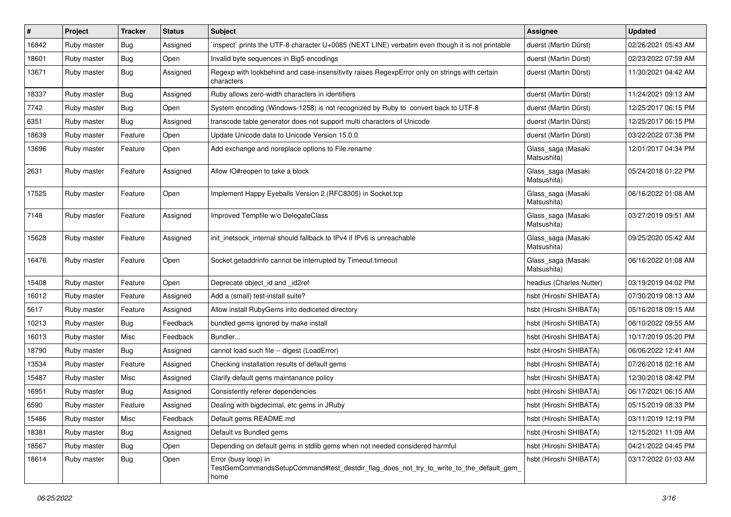| #     | Project     | <b>Tracker</b> | <b>Status</b> | <b>Subject</b>                                                                                                          | <b>Assignee</b>                   | <b>Updated</b>      |
|-------|-------------|----------------|---------------|-------------------------------------------------------------------------------------------------------------------------|-----------------------------------|---------------------|
| 16842 | Ruby master | <b>Bug</b>     | Assigned      | inspect` prints the UTF-8 character U+0085 (NEXT LINE) verbatim even though it is not printable                         | duerst (Martin Dürst)             | 02/26/2021 05:43 AM |
| 18601 | Ruby master | Bug            | Open          | Invalid byte sequences in Big5 encodings                                                                                | duerst (Martin Dürst)             | 02/23/2022 07:59 AM |
| 13671 | Ruby master | Bug            | Assigned      | Regexp with lookbehind and case-insensitivity raises RegexpError only on strings with certain<br>characters             | duerst (Martin Dürst)             | 11/30/2021 04:42 AM |
| 18337 | Ruby master | Bug            | Assigned      | Ruby allows zero-width characters in identifiers                                                                        | duerst (Martin Dürst)             | 11/24/2021 09:13 AM |
| 7742  | Ruby master | Bug            | Open          | System encoding (Windows-1258) is not recognized by Ruby to convert back to UTF-8                                       | duerst (Martin Dürst)             | 12/25/2017 06:15 PM |
| 6351  | Ruby master | <b>Bug</b>     | Assigned      | transcode table generator does not support multi characters of Unicode                                                  | duerst (Martin Dürst)             | 12/25/2017 06:15 PM |
| 18639 | Ruby master | Feature        | Open          | Update Unicode data to Unicode Version 15.0.0                                                                           | duerst (Martin Dürst)             | 03/22/2022 07:38 PM |
| 13696 | Ruby master | Feature        | Open          | Add exchange and noreplace options to File.rename                                                                       | Glass_saga (Masaki<br>Matsushita) | 12/01/2017 04:34 PM |
| 2631  | Ruby master | Feature        | Assigned      | Allow IO#reopen to take a block                                                                                         | Glass_saga (Masaki<br>Matsushita) | 05/24/2018 01:22 PM |
| 17525 | Ruby master | Feature        | Open          | Implement Happy Eyeballs Version 2 (RFC8305) in Socket.tcp                                                              | Glass_saga (Masaki<br>Matsushita) | 06/16/2022 01:08 AM |
| 7148  | Ruby master | Feature        | Assigned      | Improved Tempfile w/o DelegateClass                                                                                     | Glass_saga (Masaki<br>Matsushita) | 03/27/2019 09:51 AM |
| 15628 | Ruby master | Feature        | Assigned      | init_inetsock_internal should fallback to IPv4 if IPv6 is unreachable                                                   | Glass_saga (Masaki<br>Matsushita) | 09/25/2020 05:42 AM |
| 16476 | Ruby master | Feature        | Open          | Socket.getaddrinfo cannot be interrupted by Timeout.timeout                                                             | Glass_saga (Masaki<br>Matsushita) | 06/16/2022 01:08 AM |
| 15408 | Ruby master | Feature        | Open          | Deprecate object_id and _id2ref                                                                                         | headius (Charles Nutter)          | 03/19/2019 04:02 PM |
| 16012 | Ruby master | Feature        | Assigned      | Add a (small) test-install suite?                                                                                       | hsbt (Hiroshi SHIBATA)            | 07/30/2019 08:13 AM |
| 5617  | Ruby master | Feature        | Assigned      | Allow install RubyGems into dediceted directory                                                                         | hsbt (Hiroshi SHIBATA)            | 05/16/2018 09:15 AM |
| 10213 | Ruby master | Bug            | Feedback      | bundled gems ignored by make install                                                                                    | hsbt (Hiroshi SHIBATA)            | 06/10/2022 09:55 AM |
| 16013 | Ruby master | Misc           | Feedback      | Bundler                                                                                                                 | hsbt (Hiroshi SHIBATA)            | 10/17/2019 05:20 PM |
| 18790 | Ruby master | Bug            | Assigned      | cannot load such file -- digest (LoadError)                                                                             | hsbt (Hiroshi SHIBATA)            | 06/06/2022 12:41 AM |
| 13534 | Ruby master | Feature        | Assigned      | Checking installation results of default gems                                                                           | hsbt (Hiroshi SHIBATA)            | 07/26/2018 02:16 AM |
| 15487 | Ruby master | Misc           | Assigned      | Clarify default gems maintanance policy                                                                                 | hsbt (Hiroshi SHIBATA)            | 12/30/2018 08:42 PM |
| 16951 | Ruby master | <b>Bug</b>     | Assigned      | Consistently referer dependencies                                                                                       | hsbt (Hiroshi SHIBATA)            | 06/17/2021 06:15 AM |
| 6590  | Ruby master | Feature        | Assigned      | Dealing with bigdecimal, etc gems in JRuby                                                                              | hsbt (Hiroshi SHIBATA)            | 05/15/2019 08:33 PM |
| 15486 | Ruby master | Misc           | Feedback      | Default gems README.md                                                                                                  | hsbt (Hiroshi SHIBATA)            | 03/11/2019 12:19 PM |
| 18381 | Ruby master | <b>Bug</b>     | Assigned      | Default vs Bundled gems                                                                                                 | hsbt (Hiroshi SHIBATA)            | 12/15/2021 11:09 AM |
| 18567 | Ruby master | Bug            | Open          | Depending on default gems in stdlib gems when not needed considered harmful                                             | hsbt (Hiroshi SHIBATA)            | 04/21/2022 04:45 PM |
| 18614 | Ruby master | Bug            | Open          | Error (busy loop) in<br>TestGemCommandsSetupCommand#test_destdir_flag_does_not_try_to_write_to_the_default_gem_<br>home | hsbt (Hiroshi SHIBATA)            | 03/17/2022 01:03 AM |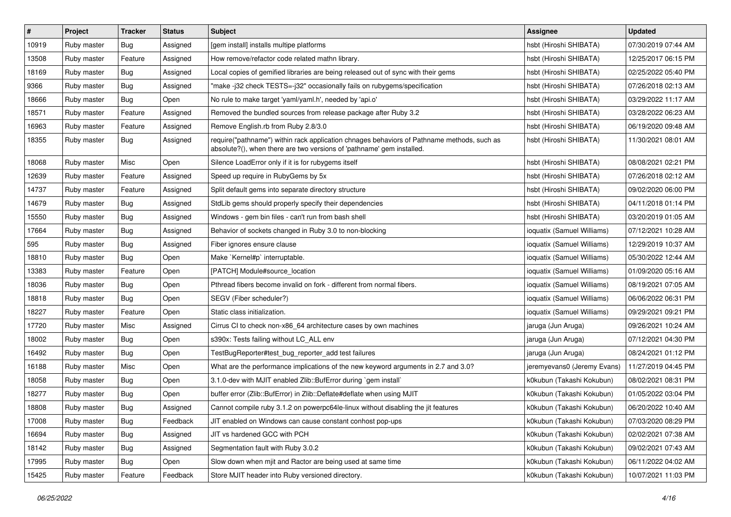| $\pmb{\#}$ | Project     | <b>Tracker</b> | <b>Status</b> | Subject                                                                                                                                                             | <b>Assignee</b>             | <b>Updated</b>      |
|------------|-------------|----------------|---------------|---------------------------------------------------------------------------------------------------------------------------------------------------------------------|-----------------------------|---------------------|
| 10919      | Ruby master | <b>Bug</b>     | Assigned      | [gem install] installs multipe platforms                                                                                                                            | hsbt (Hiroshi SHIBATA)      | 07/30/2019 07:44 AM |
| 13508      | Ruby master | Feature        | Assigned      | How remove/refactor code related mathn library.                                                                                                                     | hsbt (Hiroshi SHIBATA)      | 12/25/2017 06:15 PM |
| 18169      | Ruby master | <b>Bug</b>     | Assigned      | Local copies of gemified libraries are being released out of sync with their gems                                                                                   | hsbt (Hiroshi SHIBATA)      | 02/25/2022 05:40 PM |
| 9366       | Ruby master | <b>Bug</b>     | Assigned      | "make -j32 check TESTS=-j32" occasionally fails on rubygems/specification                                                                                           | hsbt (Hiroshi SHIBATA)      | 07/26/2018 02:13 AM |
| 18666      | Ruby master | Bug            | Open          | No rule to make target 'yaml/yaml.h', needed by 'api.o'                                                                                                             | hsbt (Hiroshi SHIBATA)      | 03/29/2022 11:17 AM |
| 18571      | Ruby master | Feature        | Assigned      | Removed the bundled sources from release package after Ruby 3.2                                                                                                     | hsbt (Hiroshi SHIBATA)      | 03/28/2022 06:23 AM |
| 16963      | Ruby master | Feature        | Assigned      | Remove English.rb from Ruby 2.8/3.0                                                                                                                                 | hsbt (Hiroshi SHIBATA)      | 06/19/2020 09:48 AM |
| 18355      | Ruby master | <b>Bug</b>     | Assigned      | require("pathname") within rack application chnages behaviors of Pathname methods, such as<br>absolute?(), when there are two versions of 'pathname' gem installed. | hsbt (Hiroshi SHIBATA)      | 11/30/2021 08:01 AM |
| 18068      | Ruby master | Misc           | Open          | Silence LoadError only if it is for rubygems itself                                                                                                                 | hsbt (Hiroshi SHIBATA)      | 08/08/2021 02:21 PM |
| 12639      | Ruby master | Feature        | Assigned      | Speed up require in RubyGems by 5x                                                                                                                                  | hsbt (Hiroshi SHIBATA)      | 07/26/2018 02:12 AM |
| 14737      | Ruby master | Feature        | Assigned      | Split default gems into separate directory structure                                                                                                                | hsbt (Hiroshi SHIBATA)      | 09/02/2020 06:00 PM |
| 14679      | Ruby master | Bug            | Assigned      | StdLib gems should properly specify their dependencies                                                                                                              | hsbt (Hiroshi SHIBATA)      | 04/11/2018 01:14 PM |
| 15550      | Ruby master | <b>Bug</b>     | Assigned      | Windows - gem bin files - can't run from bash shell                                                                                                                 | hsbt (Hiroshi SHIBATA)      | 03/20/2019 01:05 AM |
| 17664      | Ruby master | <b>Bug</b>     | Assigned      | Behavior of sockets changed in Ruby 3.0 to non-blocking                                                                                                             | ioquatix (Samuel Williams)  | 07/12/2021 10:28 AM |
| 595        | Ruby master | <b>Bug</b>     | Assigned      | Fiber ignores ensure clause                                                                                                                                         | ioquatix (Samuel Williams)  | 12/29/2019 10:37 AM |
| 18810      | Ruby master | Bug            | Open          | Make `Kernel#p` interruptable.                                                                                                                                      | ioquatix (Samuel Williams)  | 05/30/2022 12:44 AM |
| 13383      | Ruby master | Feature        | Open          | [PATCH] Module#source location                                                                                                                                      | ioquatix (Samuel Williams)  | 01/09/2020 05:16 AM |
| 18036      | Ruby master | <b>Bug</b>     | Open          | Pthread fibers become invalid on fork - different from normal fibers.                                                                                               | ioquatix (Samuel Williams)  | 08/19/2021 07:05 AM |
| 18818      | Ruby master | <b>Bug</b>     | Open          | SEGV (Fiber scheduler?)                                                                                                                                             | ioquatix (Samuel Williams)  | 06/06/2022 06:31 PM |
| 18227      | Ruby master | Feature        | Open          | Static class initialization.                                                                                                                                        | ioquatix (Samuel Williams)  | 09/29/2021 09:21 PM |
| 17720      | Ruby master | Misc           | Assigned      | Cirrus CI to check non-x86_64 architecture cases by own machines                                                                                                    | jaruga (Jun Aruga)          | 09/26/2021 10:24 AM |
| 18002      | Ruby master | <b>Bug</b>     | Open          | s390x: Tests failing without LC_ALL env                                                                                                                             | jaruga (Jun Aruga)          | 07/12/2021 04:30 PM |
| 16492      | Ruby master | <b>Bug</b>     | Open          | TestBugReporter#test_bug_reporter_add test failures                                                                                                                 | jaruga (Jun Aruga)          | 08/24/2021 01:12 PM |
| 16188      | Ruby master | Misc           | Open          | What are the performance implications of the new keyword arguments in 2.7 and 3.0?                                                                                  | jeremyevans0 (Jeremy Evans) | 11/27/2019 04:45 PM |
| 18058      | Ruby master | Bug            | Open          | 3.1.0-dev with MJIT enabled Zlib::BufError during `gem install`                                                                                                     | k0kubun (Takashi Kokubun)   | 08/02/2021 08:31 PM |
| 18277      | Ruby master | <b>Bug</b>     | Open          | buffer error (Zlib::BufError) in Zlib::Deflate#deflate when using MJIT                                                                                              | k0kubun (Takashi Kokubun)   | 01/05/2022 03:04 PM |
| 18808      | Ruby master | <b>Bug</b>     | Assigned      | Cannot compile ruby 3.1.2 on powerpc64le-linux without disabling the jit features                                                                                   | k0kubun (Takashi Kokubun)   | 06/20/2022 10:40 AM |
| 17008      | Ruby master | <b>Bug</b>     | Feedback      | JIT enabled on Windows can cause constant conhost pop-ups                                                                                                           | k0kubun (Takashi Kokubun)   | 07/03/2020 08:29 PM |
| 16694      | Ruby master | <b>Bug</b>     | Assigned      | JIT vs hardened GCC with PCH                                                                                                                                        | k0kubun (Takashi Kokubun)   | 02/02/2021 07:38 AM |
| 18142      | Ruby master | <b>Bug</b>     | Assigned      | Segmentation fault with Ruby 3.0.2                                                                                                                                  | k0kubun (Takashi Kokubun)   | 09/02/2021 07:43 AM |
| 17995      | Ruby master | <b>Bug</b>     | Open          | Slow down when mjit and Ractor are being used at same time                                                                                                          | k0kubun (Takashi Kokubun)   | 06/11/2022 04:02 AM |
| 15425      | Ruby master | Feature        | Feedback      | Store MJIT header into Ruby versioned directory.                                                                                                                    | k0kubun (Takashi Kokubun)   | 10/07/2021 11:03 PM |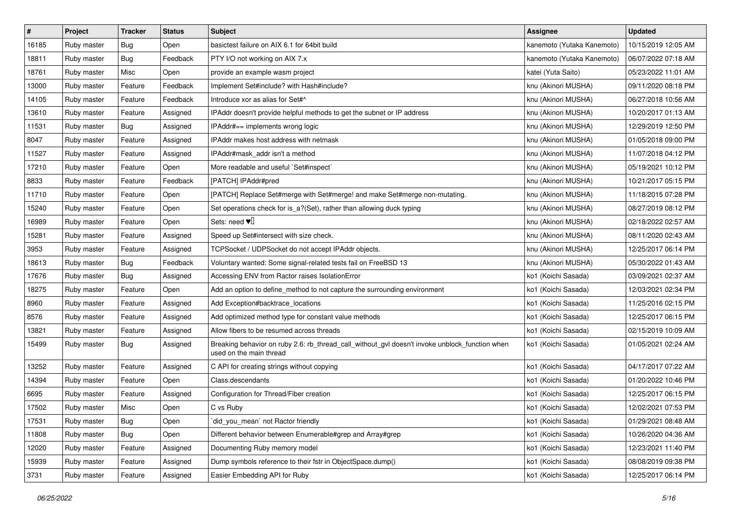| $\sharp$ | Project     | <b>Tracker</b> | <b>Status</b> | Subject                                                                                                                   | <b>Assignee</b>            | <b>Updated</b>      |
|----------|-------------|----------------|---------------|---------------------------------------------------------------------------------------------------------------------------|----------------------------|---------------------|
| 16185    | Ruby master | <b>Bug</b>     | Open          | basictest failure on AIX 6.1 for 64bit build                                                                              | kanemoto (Yutaka Kanemoto) | 10/15/2019 12:05 AM |
| 18811    | Ruby master | Bug            | Feedback      | PTY I/O not working on AIX 7.x                                                                                            | kanemoto (Yutaka Kanemoto) | 06/07/2022 07:18 AM |
| 18761    | Ruby master | Misc           | Open          | provide an example wasm project                                                                                           | katei (Yuta Saito)         | 05/23/2022 11:01 AM |
| 13000    | Ruby master | Feature        | Feedback      | Implement Set#include? with Hash#include?                                                                                 | knu (Akinori MUSHA)        | 09/11/2020 08:18 PM |
| 14105    | Ruby master | Feature        | Feedback      | Introduce xor as alias for Set#^                                                                                          | knu (Akinori MUSHA)        | 06/27/2018 10:56 AM |
| 13610    | Ruby master | Feature        | Assigned      | IPAddr doesn't provide helpful methods to get the subnet or IP address                                                    | knu (Akinori MUSHA)        | 10/20/2017 01:13 AM |
| 11531    | Ruby master | Bug            | Assigned      | IPAddr#== implements wrong logic                                                                                          | knu (Akinori MUSHA)        | 12/29/2019 12:50 PM |
| 8047     | Ruby master | Feature        | Assigned      | <b>IPAddr makes host address with netmask</b>                                                                             | knu (Akinori MUSHA)        | 01/05/2018 09:00 PM |
| 11527    | Ruby master | Feature        | Assigned      | IPAddr#mask_addr isn't a method                                                                                           | knu (Akinori MUSHA)        | 11/07/2018 04:12 PM |
| 17210    | Ruby master | Feature        | Open          | More readable and useful `Set#inspect`                                                                                    | knu (Akinori MUSHA)        | 05/19/2021 10:12 PM |
| 8833     | Ruby master | Feature        | Feedback      | [PATCH] IPAddr#pred                                                                                                       | knu (Akinori MUSHA)        | 10/21/2017 05:15 PM |
| 11710    | Ruby master | Feature        | Open          | [PATCH] Replace Set#merge with Set#merge! and make Set#merge non-mutating.                                                | knu (Akinori MUSHA)        | 11/18/2015 07:28 PM |
| 15240    | Ruby master | Feature        | Open          | Set operations check for is_a?(Set), rather than allowing duck typing                                                     | knu (Akinori MUSHA)        | 08/27/2019 08:12 PM |
| 16989    | Ruby master | Feature        | Open          | Sets: need $\Psi$                                                                                                         | knu (Akinori MUSHA)        | 02/18/2022 02:57 AM |
| 15281    | Ruby master | Feature        | Assigned      | Speed up Set#intersect with size check.                                                                                   | knu (Akinori MUSHA)        | 08/11/2020 02:43 AM |
| 3953     | Ruby master | Feature        | Assigned      | TCPSocket / UDPSocket do not accept IPAddr objects.                                                                       | knu (Akinori MUSHA)        | 12/25/2017 06:14 PM |
| 18613    | Ruby master | Bug            | Feedback      | Voluntary wanted: Some signal-related tests fail on FreeBSD 13                                                            | knu (Akinori MUSHA)        | 05/30/2022 01:43 AM |
| 17676    | Ruby master | Bug            | Assigned      | Accessing ENV from Ractor raises IsolationError                                                                           | ko1 (Koichi Sasada)        | 03/09/2021 02:37 AM |
| 18275    | Ruby master | Feature        | Open          | Add an option to define method to not capture the surrounding environment                                                 | ko1 (Koichi Sasada)        | 12/03/2021 02:34 PM |
| 8960     | Ruby master | Feature        | Assigned      | Add Exception#backtrace_locations                                                                                         | ko1 (Koichi Sasada)        | 11/25/2016 02:15 PM |
| 8576     | Ruby master | Feature        | Assigned      | Add optimized method type for constant value methods                                                                      | ko1 (Koichi Sasada)        | 12/25/2017 06:15 PM |
| 13821    | Ruby master | Feature        | Assigned      | Allow fibers to be resumed across threads                                                                                 | ko1 (Koichi Sasada)        | 02/15/2019 10:09 AM |
| 15499    | Ruby master | Bug            | Assigned      | Breaking behavior on ruby 2.6: rb_thread_call_without_gvl doesn't invoke unblock_function when<br>used on the main thread | ko1 (Koichi Sasada)        | 01/05/2021 02:24 AM |
| 13252    | Ruby master | Feature        | Assigned      | C API for creating strings without copying                                                                                | ko1 (Koichi Sasada)        | 04/17/2017 07:22 AM |
| 14394    | Ruby master | Feature        | Open          | Class.descendants                                                                                                         | ko1 (Koichi Sasada)        | 01/20/2022 10:46 PM |
| 6695     | Ruby master | Feature        | Assigned      | Configuration for Thread/Fiber creation                                                                                   | ko1 (Koichi Sasada)        | 12/25/2017 06:15 PM |
| 17502    | Ruby master | Misc           | Open          | C vs Ruby                                                                                                                 | ko1 (Koichi Sasada)        | 12/02/2021 07:53 PM |
| 17531    | Ruby master | <b>Bug</b>     | Open          | did_you_mean' not Ractor friendly                                                                                         | ko1 (Koichi Sasada)        | 01/29/2021 08:48 AM |
| 11808    | Ruby master | <b>Bug</b>     | Open          | Different behavior between Enumerable#grep and Array#grep                                                                 | ko1 (Koichi Sasada)        | 10/26/2020 04:36 AM |
| 12020    | Ruby master | Feature        | Assigned      | Documenting Ruby memory model                                                                                             | ko1 (Koichi Sasada)        | 12/23/2021 11:40 PM |
| 15939    | Ruby master | Feature        | Assigned      | Dump symbols reference to their fstr in ObjectSpace.dump()                                                                | ko1 (Koichi Sasada)        | 08/08/2019 09:38 PM |
| 3731     | Ruby master | Feature        | Assigned      | Easier Embedding API for Ruby                                                                                             | ko1 (Koichi Sasada)        | 12/25/2017 06:14 PM |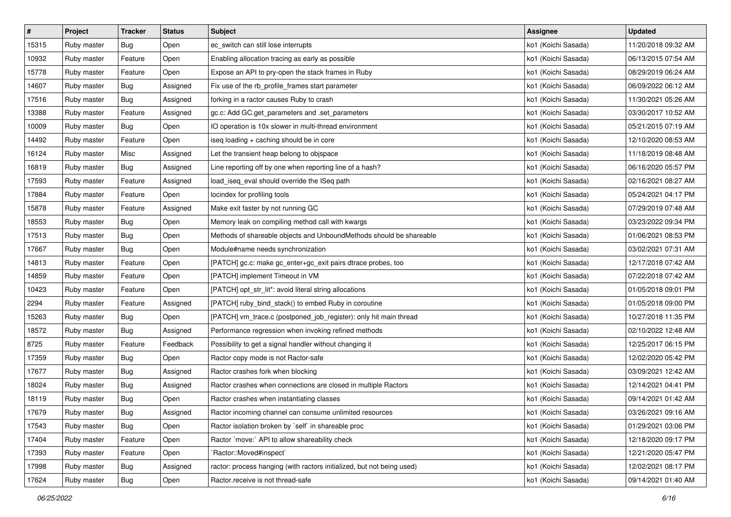| $\pmb{\#}$ | Project     | <b>Tracker</b> | <b>Status</b> | Subject                                                                | Assignee            | <b>Updated</b>      |
|------------|-------------|----------------|---------------|------------------------------------------------------------------------|---------------------|---------------------|
| 15315      | Ruby master | Bug            | Open          | ec_switch can still lose interrupts                                    | ko1 (Koichi Sasada) | 11/20/2018 09:32 AM |
| 10932      | Ruby master | Feature        | Open          | Enabling allocation tracing as early as possible                       | ko1 (Koichi Sasada) | 06/13/2015 07:54 AM |
| 15778      | Ruby master | Feature        | Open          | Expose an API to pry-open the stack frames in Ruby                     | ko1 (Koichi Sasada) | 08/29/2019 06:24 AM |
| 14607      | Ruby master | Bug            | Assigned      | Fix use of the rb_profile_frames start parameter                       | ko1 (Koichi Sasada) | 06/09/2022 06:12 AM |
| 17516      | Ruby master | Bug            | Assigned      | forking in a ractor causes Ruby to crash                               | ko1 (Koichi Sasada) | 11/30/2021 05:26 AM |
| 13388      | Ruby master | Feature        | Assigned      | gc.c: Add GC.get_parameters and .set_parameters                        | ko1 (Koichi Sasada) | 03/30/2017 10:52 AM |
| 10009      | Ruby master | <b>Bug</b>     | Open          | IO operation is 10x slower in multi-thread environment                 | ko1 (Koichi Sasada) | 05/21/2015 07:19 AM |
| 14492      | Ruby master | Feature        | Open          | iseq loading + caching should be in core                               | ko1 (Koichi Sasada) | 12/10/2020 08:53 AM |
| 16124      | Ruby master | Misc           | Assigned      | Let the transient heap belong to objspace                              | ko1 (Koichi Sasada) | 11/18/2019 08:48 AM |
| 16819      | Ruby master | Bug            | Assigned      | Line reporting off by one when reporting line of a hash?               | ko1 (Koichi Sasada) | 06/16/2020 05:57 PM |
| 17593      | Ruby master | Feature        | Assigned      | load_iseq_eval should override the ISeq path                           | ko1 (Koichi Sasada) | 02/16/2021 08:27 AM |
| 17884      | Ruby master | Feature        | Open          | locindex for profiling tools                                           | ko1 (Koichi Sasada) | 05/24/2021 04:17 PM |
| 15878      | Ruby master | Feature        | Assigned      | Make exit faster by not running GC                                     | ko1 (Koichi Sasada) | 07/29/2019 07:48 AM |
| 18553      | Ruby master | Bug            | Open          | Memory leak on compiling method call with kwargs                       | ko1 (Koichi Sasada) | 03/23/2022 09:34 PM |
| 17513      | Ruby master | <b>Bug</b>     | Open          | Methods of shareable objects and UnboundMethods should be shareable    | ko1 (Koichi Sasada) | 01/06/2021 08:53 PM |
| 17667      | Ruby master | Bug            | Open          | Module#name needs synchronization                                      | ko1 (Koichi Sasada) | 03/02/2021 07:31 AM |
| 14813      | Ruby master | Feature        | Open          | [PATCH] gc.c: make gc_enter+gc_exit pairs dtrace probes, too           | ko1 (Koichi Sasada) | 12/17/2018 07:42 AM |
| 14859      | Ruby master | Feature        | Open          | [PATCH] implement Timeout in VM                                        | ko1 (Koichi Sasada) | 07/22/2018 07:42 AM |
| 10423      | Ruby master | Feature        | Open          | [PATCH] opt_str_lit*: avoid literal string allocations                 | ko1 (Koichi Sasada) | 01/05/2018 09:01 PM |
| 2294       | Ruby master | Feature        | Assigned      | [PATCH] ruby_bind_stack() to embed Ruby in coroutine                   | ko1 (Koichi Sasada) | 01/05/2018 09:00 PM |
| 15263      | Ruby master | Bug            | Open          | [PATCH] vm_trace.c (postponed_job_register): only hit main thread      | ko1 (Koichi Sasada) | 10/27/2018 11:35 PM |
| 18572      | Ruby master | <b>Bug</b>     | Assigned      | Performance regression when invoking refined methods                   | ko1 (Koichi Sasada) | 02/10/2022 12:48 AM |
| 8725       | Ruby master | Feature        | Feedback      | Possibility to get a signal handler without changing it                | ko1 (Koichi Sasada) | 12/25/2017 06:15 PM |
| 17359      | Ruby master | <b>Bug</b>     | Open          | Ractor copy mode is not Ractor-safe                                    | ko1 (Koichi Sasada) | 12/02/2020 05:42 PM |
| 17677      | Ruby master | <b>Bug</b>     | Assigned      | Ractor crashes fork when blocking                                      | ko1 (Koichi Sasada) | 03/09/2021 12:42 AM |
| 18024      | Ruby master | Bug            | Assigned      | Ractor crashes when connections are closed in multiple Ractors         | ko1 (Koichi Sasada) | 12/14/2021 04:41 PM |
| 18119      | Ruby master | Bug            | Open          | Ractor crashes when instantiating classes                              | ko1 (Koichi Sasada) | 09/14/2021 01:42 AM |
| 17679      | Ruby master | Bug            | Assigned      | Ractor incoming channel can consume unlimited resources                | ko1 (Koichi Sasada) | 03/26/2021 09:16 AM |
| 17543      | Ruby master | Bug            | Open          | Ractor isolation broken by `self` in shareable proc                    | ko1 (Koichi Sasada) | 01/29/2021 03:06 PM |
| 17404      | Ruby master | Feature        | Open          | Ractor `move:` API to allow shareability check                         | ko1 (Koichi Sasada) | 12/18/2020 09:17 PM |
| 17393      | Ruby master | Feature        | Open          | `Ractor::Moved#inspect`                                                | ko1 (Koichi Sasada) | 12/21/2020 05:47 PM |
| 17998      | Ruby master | Bug            | Assigned      | ractor: process hanging (with ractors initialized, but not being used) | ko1 (Koichi Sasada) | 12/02/2021 08:17 PM |
| 17624      | Ruby master | <b>Bug</b>     | Open          | Ractor.receive is not thread-safe                                      | ko1 (Koichi Sasada) | 09/14/2021 01:40 AM |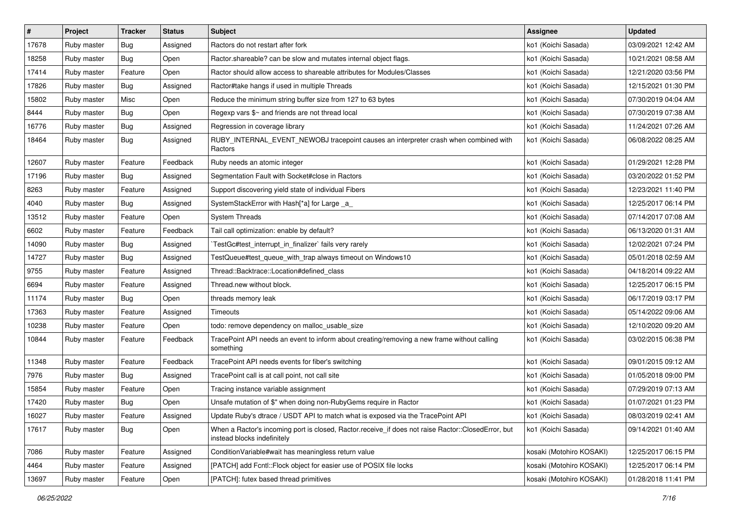| $\pmb{\#}$ | Project     | <b>Tracker</b> | <b>Status</b> | Subject                                                                                                                           | <b>Assignee</b>          | <b>Updated</b>      |
|------------|-------------|----------------|---------------|-----------------------------------------------------------------------------------------------------------------------------------|--------------------------|---------------------|
| 17678      | Ruby master | Bug            | Assigned      | Ractors do not restart after fork                                                                                                 | ko1 (Koichi Sasada)      | 03/09/2021 12:42 AM |
| 18258      | Ruby master | Bug            | Open          | Ractor shareable? can be slow and mutates internal object flags.                                                                  | ko1 (Koichi Sasada)      | 10/21/2021 08:58 AM |
| 17414      | Ruby master | Feature        | Open          | Ractor should allow access to shareable attributes for Modules/Classes                                                            | ko1 (Koichi Sasada)      | 12/21/2020 03:56 PM |
| 17826      | Ruby master | Bug            | Assigned      | Ractor#take hangs if used in multiple Threads                                                                                     | ko1 (Koichi Sasada)      | 12/15/2021 01:30 PM |
| 15802      | Ruby master | Misc           | Open          | Reduce the minimum string buffer size from 127 to 63 bytes                                                                        | ko1 (Koichi Sasada)      | 07/30/2019 04:04 AM |
| 8444       | Ruby master | Bug            | Open          | Regexp vars \$~ and friends are not thread local                                                                                  | ko1 (Koichi Sasada)      | 07/30/2019 07:38 AM |
| 16776      | Ruby master | Bug            | Assigned      | Regression in coverage library                                                                                                    | ko1 (Koichi Sasada)      | 11/24/2021 07:26 AM |
| 18464      | Ruby master | Bug            | Assigned      | RUBY_INTERNAL_EVENT_NEWOBJ tracepoint causes an interpreter crash when combined with<br>Ractors                                   | ko1 (Koichi Sasada)      | 06/08/2022 08:25 AM |
| 12607      | Ruby master | Feature        | Feedback      | Ruby needs an atomic integer                                                                                                      | ko1 (Koichi Sasada)      | 01/29/2021 12:28 PM |
| 17196      | Ruby master | Bug            | Assigned      | Segmentation Fault with Socket#close in Ractors                                                                                   | ko1 (Koichi Sasada)      | 03/20/2022 01:52 PM |
| 8263       | Ruby master | Feature        | Assigned      | Support discovering yield state of individual Fibers                                                                              | ko1 (Koichi Sasada)      | 12/23/2021 11:40 PM |
| 4040       | Ruby master | Bug            | Assigned      | SystemStackError with Hash[*a] for Large _a                                                                                       | ko1 (Koichi Sasada)      | 12/25/2017 06:14 PM |
| 13512      | Ruby master | Feature        | Open          | <b>System Threads</b>                                                                                                             | ko1 (Koichi Sasada)      | 07/14/2017 07:08 AM |
| 6602       | Ruby master | Feature        | Feedback      | Tail call optimization: enable by default?                                                                                        | ko1 (Koichi Sasada)      | 06/13/2020 01:31 AM |
| 14090      | Ruby master | Bug            | Assigned      | TestGc#test_interrupt_in_finalizer` fails very rarely                                                                             | ko1 (Koichi Sasada)      | 12/02/2021 07:24 PM |
| 14727      | Ruby master | <b>Bug</b>     | Assigned      | TestQueue#test_queue_with_trap always timeout on Windows10                                                                        | ko1 (Koichi Sasada)      | 05/01/2018 02:59 AM |
| 9755       | Ruby master | Feature        | Assigned      | Thread::Backtrace::Location#defined class                                                                                         | ko1 (Koichi Sasada)      | 04/18/2014 09:22 AM |
| 6694       | Ruby master | Feature        | Assigned      | Thread.new without block.                                                                                                         | ko1 (Koichi Sasada)      | 12/25/2017 06:15 PM |
| 11174      | Ruby master | Bug            | Open          | threads memory leak                                                                                                               | ko1 (Koichi Sasada)      | 06/17/2019 03:17 PM |
| 17363      | Ruby master | Feature        | Assigned      | <b>Timeouts</b>                                                                                                                   | ko1 (Koichi Sasada)      | 05/14/2022 09:06 AM |
| 10238      | Ruby master | Feature        | Open          | todo: remove dependency on malloc_usable_size                                                                                     | ko1 (Koichi Sasada)      | 12/10/2020 09:20 AM |
| 10844      | Ruby master | Feature        | Feedback      | TracePoint API needs an event to inform about creating/removing a new frame without calling<br>something                          | ko1 (Koichi Sasada)      | 03/02/2015 06:38 PM |
| 11348      | Ruby master | Feature        | Feedback      | TracePoint API needs events for fiber's switching                                                                                 | ko1 (Koichi Sasada)      | 09/01/2015 09:12 AM |
| 7976       | Ruby master | Bug            | Assigned      | TracePoint call is at call point, not call site                                                                                   | ko1 (Koichi Sasada)      | 01/05/2018 09:00 PM |
| 15854      | Ruby master | Feature        | Open          | Tracing instance variable assignment                                                                                              | ko1 (Koichi Sasada)      | 07/29/2019 07:13 AM |
| 17420      | Ruby master | Bug            | Open          | Unsafe mutation of \$" when doing non-RubyGems require in Ractor                                                                  | ko1 (Koichi Sasada)      | 01/07/2021 01:23 PM |
| 16027      | Ruby master | Feature        | Assigned      | Update Ruby's dtrace / USDT API to match what is exposed via the TracePoint API                                                   | ko1 (Koichi Sasada)      | 08/03/2019 02:41 AM |
| 17617      | Ruby master | Bug            | Open          | When a Ractor's incoming port is closed, Ractor.receive_if does not raise Ractor::ClosedError, but<br>instead blocks indefinitely | ko1 (Koichi Sasada)      | 09/14/2021 01:40 AM |
| 7086       | Ruby master | Feature        | Assigned      | ConditionVariable#wait has meaningless return value                                                                               | kosaki (Motohiro KOSAKI) | 12/25/2017 06:15 PM |
| 4464       | Ruby master | Feature        | Assigned      | [PATCH] add Fcntl::Flock object for easier use of POSIX file locks                                                                | kosaki (Motohiro KOSAKI) | 12/25/2017 06:14 PM |
| 13697      | Ruby master | Feature        | Open          | [PATCH]: futex based thread primitives                                                                                            | kosaki (Motohiro KOSAKI) | 01/28/2018 11:41 PM |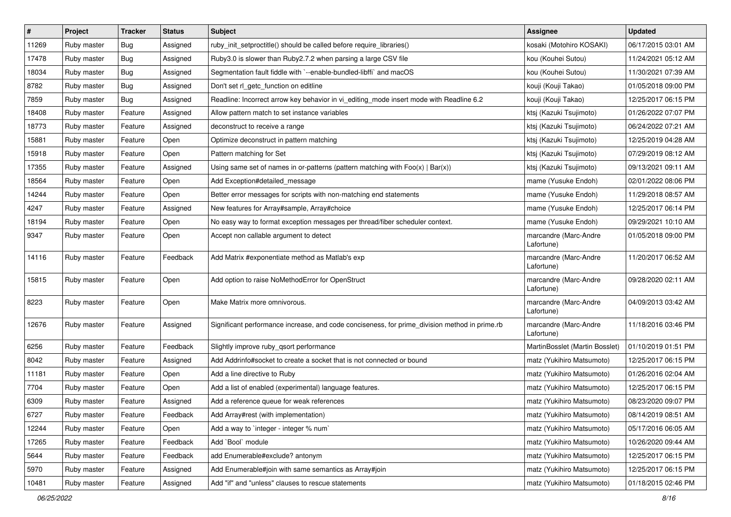| #     | Project     | <b>Tracker</b> | <b>Status</b> | Subject                                                                                       | <b>Assignee</b>                     | <b>Updated</b>      |
|-------|-------------|----------------|---------------|-----------------------------------------------------------------------------------------------|-------------------------------------|---------------------|
| 11269 | Ruby master | <b>Bug</b>     | Assigned      | ruby_init_setproctitle() should be called before require_libraries()                          | kosaki (Motohiro KOSAKI)            | 06/17/2015 03:01 AM |
| 17478 | Ruby master | Bug            | Assigned      | Ruby3.0 is slower than Ruby2.7.2 when parsing a large CSV file                                | kou (Kouhei Sutou)                  | 11/24/2021 05:12 AM |
| 18034 | Ruby master | Bug            | Assigned      | Segmentation fault fiddle with `--enable-bundled-libffi` and macOS                            | kou (Kouhei Sutou)                  | 11/30/2021 07:39 AM |
| 8782  | Ruby master | Bug            | Assigned      | Don't set rl_getc_function on editline                                                        | kouji (Kouji Takao)                 | 01/05/2018 09:00 PM |
| 7859  | Ruby master | <b>Bug</b>     | Assigned      | Readline: Incorrect arrow key behavior in vi_editing_mode insert mode with Readline 6.2       | kouji (Kouji Takao)                 | 12/25/2017 06:15 PM |
| 18408 | Ruby master | Feature        | Assigned      | Allow pattern match to set instance variables                                                 | ktsj (Kazuki Tsujimoto)             | 01/26/2022 07:07 PM |
| 18773 | Ruby master | Feature        | Assigned      | deconstruct to receive a range                                                                | ktsj (Kazuki Tsujimoto)             | 06/24/2022 07:21 AM |
| 15881 | Ruby master | Feature        | Open          | Optimize deconstruct in pattern matching                                                      | ktsj (Kazuki Tsujimoto)             | 12/25/2019 04:28 AM |
| 15918 | Ruby master | Feature        | Open          | Pattern matching for Set                                                                      | ktsj (Kazuki Tsujimoto)             | 07/29/2019 08:12 AM |
| 17355 | Ruby master | Feature        | Assigned      | Using same set of names in or-patterns (pattern matching with $Foo(x)   Bar(x)$ )             | ktsj (Kazuki Tsujimoto)             | 09/13/2021 09:11 AM |
| 18564 | Ruby master | Feature        | Open          | Add Exception#detailed_message                                                                | mame (Yusuke Endoh)                 | 02/01/2022 08:06 PM |
| 14244 | Ruby master | Feature        | Open          | Better error messages for scripts with non-matching end statements                            | mame (Yusuke Endoh)                 | 11/29/2018 08:57 AM |
| 4247  | Ruby master | Feature        | Assigned      | New features for Array#sample, Array#choice                                                   | mame (Yusuke Endoh)                 | 12/25/2017 06:14 PM |
| 18194 | Ruby master | Feature        | Open          | No easy way to format exception messages per thread/fiber scheduler context.                  | mame (Yusuke Endoh)                 | 09/29/2021 10:10 AM |
| 9347  | Ruby master | Feature        | Open          | Accept non callable argument to detect                                                        | marcandre (Marc-Andre<br>Lafortune) | 01/05/2018 09:00 PM |
| 14116 | Ruby master | Feature        | Feedback      | Add Matrix #exponentiate method as Matlab's exp                                               | marcandre (Marc-Andre<br>Lafortune) | 11/20/2017 06:52 AM |
| 15815 | Ruby master | Feature        | Open          | Add option to raise NoMethodError for OpenStruct                                              | marcandre (Marc-Andre<br>Lafortune) | 09/28/2020 02:11 AM |
| 8223  | Ruby master | Feature        | Open          | Make Matrix more omnivorous.                                                                  | marcandre (Marc-Andre<br>Lafortune) | 04/09/2013 03:42 AM |
| 12676 | Ruby master | Feature        | Assigned      | Significant performance increase, and code conciseness, for prime_division method in prime.rb | marcandre (Marc-Andre<br>Lafortune) | 11/18/2016 03:46 PM |
| 6256  | Ruby master | Feature        | Feedback      | Slightly improve ruby_qsort performance                                                       | MartinBosslet (Martin Bosslet)      | 01/10/2019 01:51 PM |
| 8042  | Ruby master | Feature        | Assigned      | Add Addrinfo#socket to create a socket that is not connected or bound                         | matz (Yukihiro Matsumoto)           | 12/25/2017 06:15 PM |
| 11181 | Ruby master | Feature        | Open          | Add a line directive to Ruby                                                                  | matz (Yukihiro Matsumoto)           | 01/26/2016 02:04 AM |
| 7704  | Ruby master | Feature        | Open          | Add a list of enabled (experimental) language features.                                       | matz (Yukihiro Matsumoto)           | 12/25/2017 06:15 PM |
| 6309  | Ruby master | Feature        | Assigned      | Add a reference queue for weak references                                                     | matz (Yukihiro Matsumoto)           | 08/23/2020 09:07 PM |
| 6727  | Ruby master | Feature        | Feedback      | Add Array#rest (with implementation)                                                          | matz (Yukihiro Matsumoto)           | 08/14/2019 08:51 AM |
| 12244 | Ruby master | Feature        | Open          | Add a way to 'integer - integer % num'                                                        | matz (Yukihiro Matsumoto)           | 05/17/2016 06:05 AM |
| 17265 | Ruby master | Feature        | Feedback      | Add `Bool` module                                                                             | matz (Yukihiro Matsumoto)           | 10/26/2020 09:44 AM |
| 5644  | Ruby master | Feature        | Feedback      | add Enumerable#exclude? antonym                                                               | matz (Yukihiro Matsumoto)           | 12/25/2017 06:15 PM |
| 5970  | Ruby master | Feature        | Assigned      | Add Enumerable#join with same semantics as Array#join                                         | matz (Yukihiro Matsumoto)           | 12/25/2017 06:15 PM |
| 10481 | Ruby master | Feature        | Assigned      | Add "if" and "unless" clauses to rescue statements                                            | matz (Yukihiro Matsumoto)           | 01/18/2015 02:46 PM |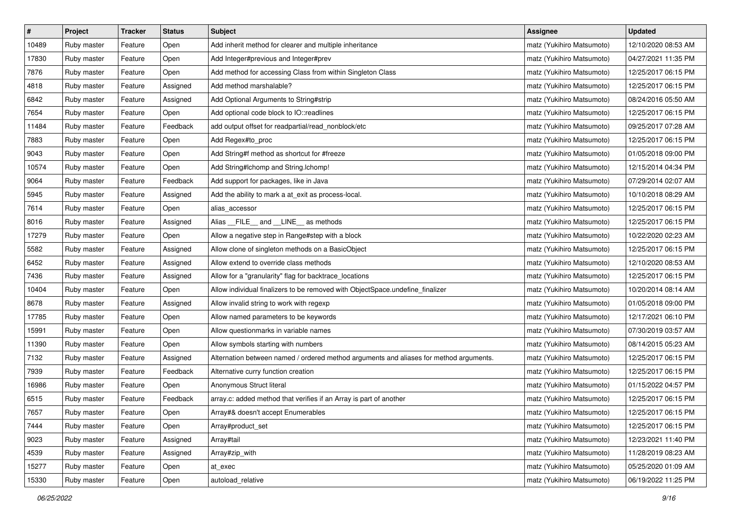| $\vert$ # | Project     | <b>Tracker</b> | <b>Status</b> | <b>Subject</b>                                                                         | <b>Assignee</b>           | <b>Updated</b>      |
|-----------|-------------|----------------|---------------|----------------------------------------------------------------------------------------|---------------------------|---------------------|
| 10489     | Ruby master | Feature        | Open          | Add inherit method for clearer and multiple inheritance                                | matz (Yukihiro Matsumoto) | 12/10/2020 08:53 AM |
| 17830     | Ruby master | Feature        | Open          | Add Integer#previous and Integer#prev                                                  | matz (Yukihiro Matsumoto) | 04/27/2021 11:35 PM |
| 7876      | Ruby master | Feature        | Open          | Add method for accessing Class from within Singleton Class                             | matz (Yukihiro Matsumoto) | 12/25/2017 06:15 PM |
| 4818      | Ruby master | Feature        | Assigned      | Add method marshalable?                                                                | matz (Yukihiro Matsumoto) | 12/25/2017 06:15 PM |
| 6842      | Ruby master | Feature        | Assigned      | Add Optional Arguments to String#strip                                                 | matz (Yukihiro Matsumoto) | 08/24/2016 05:50 AM |
| 7654      | Ruby master | Feature        | Open          | Add optional code block to IO::readlines                                               | matz (Yukihiro Matsumoto) | 12/25/2017 06:15 PM |
| 11484     | Ruby master | Feature        | Feedback      | add output offset for readpartial/read_nonblock/etc                                    | matz (Yukihiro Matsumoto) | 09/25/2017 07:28 AM |
| 7883      | Ruby master | Feature        | Open          | Add Regex#to_proc                                                                      | matz (Yukihiro Matsumoto) | 12/25/2017 06:15 PM |
| 9043      | Ruby master | Feature        | Open          | Add String#f method as shortcut for #freeze                                            | matz (Yukihiro Matsumoto) | 01/05/2018 09:00 PM |
| 10574     | Ruby master | Feature        | Open          | Add String#Ichomp and String.Ichomp!                                                   | matz (Yukihiro Matsumoto) | 12/15/2014 04:34 PM |
| 9064      | Ruby master | Feature        | Feedback      | Add support for packages, like in Java                                                 | matz (Yukihiro Matsumoto) | 07/29/2014 02:07 AM |
| 5945      | Ruby master | Feature        | Assigned      | Add the ability to mark a at_exit as process-local.                                    | matz (Yukihiro Matsumoto) | 10/10/2018 08:29 AM |
| 7614      | Ruby master | Feature        | Open          | alias_accessor                                                                         | matz (Yukihiro Matsumoto) | 12/25/2017 06:15 PM |
| 8016      | Ruby master | Feature        | Assigned      | Alias FILE and LINE as methods                                                         | matz (Yukihiro Matsumoto) | 12/25/2017 06:15 PM |
| 17279     | Ruby master | Feature        | Open          | Allow a negative step in Range#step with a block                                       | matz (Yukihiro Matsumoto) | 10/22/2020 02:23 AM |
| 5582      | Ruby master | Feature        | Assigned      | Allow clone of singleton methods on a BasicObject                                      | matz (Yukihiro Matsumoto) | 12/25/2017 06:15 PM |
| 6452      | Ruby master | Feature        | Assigned      | Allow extend to override class methods                                                 | matz (Yukihiro Matsumoto) | 12/10/2020 08:53 AM |
| 7436      | Ruby master | Feature        | Assigned      | Allow for a "granularity" flag for backtrace_locations                                 | matz (Yukihiro Matsumoto) | 12/25/2017 06:15 PM |
| 10404     | Ruby master | Feature        | Open          | Allow individual finalizers to be removed with ObjectSpace.undefine_finalizer          | matz (Yukihiro Matsumoto) | 10/20/2014 08:14 AM |
| 8678      | Ruby master | Feature        | Assigned      | Allow invalid string to work with regexp                                               | matz (Yukihiro Matsumoto) | 01/05/2018 09:00 PM |
| 17785     | Ruby master | Feature        | Open          | Allow named parameters to be keywords                                                  | matz (Yukihiro Matsumoto) | 12/17/2021 06:10 PM |
| 15991     | Ruby master | Feature        | Open          | Allow questionmarks in variable names                                                  | matz (Yukihiro Matsumoto) | 07/30/2019 03:57 AM |
| 11390     | Ruby master | Feature        | Open          | Allow symbols starting with numbers                                                    | matz (Yukihiro Matsumoto) | 08/14/2015 05:23 AM |
| 7132      | Ruby master | Feature        | Assigned      | Alternation between named / ordered method arguments and aliases for method arguments. | matz (Yukihiro Matsumoto) | 12/25/2017 06:15 PM |
| 7939      | Ruby master | Feature        | Feedback      | Alternative curry function creation                                                    | matz (Yukihiro Matsumoto) | 12/25/2017 06:15 PM |
| 16986     | Ruby master | Feature        | Open          | Anonymous Struct literal                                                               | matz (Yukihiro Matsumoto) | 01/15/2022 04:57 PM |
| 6515      | Ruby master | Feature        | Feedback      | array.c: added method that verifies if an Array is part of another                     | matz (Yukihiro Matsumoto) | 12/25/2017 06:15 PM |
| 7657      | Ruby master | Feature        | Open          | Array#& doesn't accept Enumerables                                                     | matz (Yukihiro Matsumoto) | 12/25/2017 06:15 PM |
| 7444      | Ruby master | Feature        | Open          | Array#product_set                                                                      | matz (Yukihiro Matsumoto) | 12/25/2017 06:15 PM |
| 9023      | Ruby master | Feature        | Assigned      | Array#tail                                                                             | matz (Yukihiro Matsumoto) | 12/23/2021 11:40 PM |
| 4539      | Ruby master | Feature        | Assigned      | Array#zip_with                                                                         | matz (Yukihiro Matsumoto) | 11/28/2019 08:23 AM |
| 15277     | Ruby master | Feature        | Open          | at exec                                                                                | matz (Yukihiro Matsumoto) | 05/25/2020 01:09 AM |
| 15330     | Ruby master | Feature        | Open          | autoload_relative                                                                      | matz (Yukihiro Matsumoto) | 06/19/2022 11:25 PM |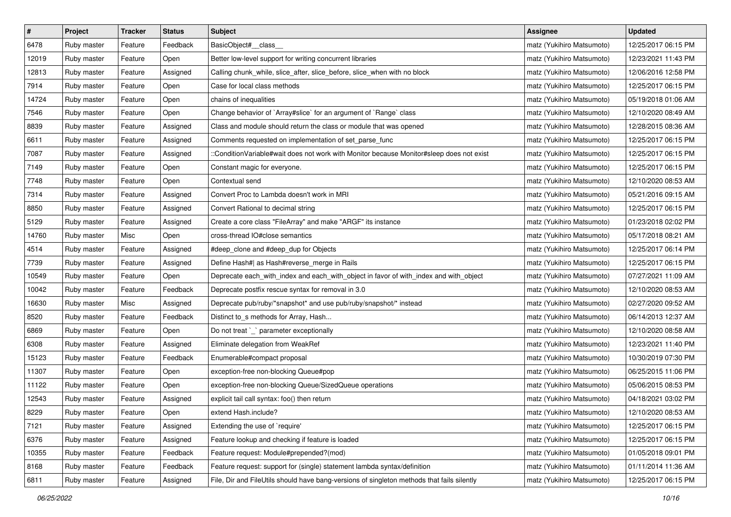| $\pmb{\#}$ | Project     | <b>Tracker</b> | <b>Status</b> | <b>Subject</b>                                                                             | <b>Assignee</b>           | <b>Updated</b>      |
|------------|-------------|----------------|---------------|--------------------------------------------------------------------------------------------|---------------------------|---------------------|
| 6478       | Ruby master | Feature        | Feedback      | BasicObject#_class_                                                                        | matz (Yukihiro Matsumoto) | 12/25/2017 06:15 PM |
| 12019      | Ruby master | Feature        | Open          | Better low-level support for writing concurrent libraries                                  | matz (Yukihiro Matsumoto) | 12/23/2021 11:43 PM |
| 12813      | Ruby master | Feature        | Assigned      | Calling chunk_while, slice_after, slice_before, slice_when with no block                   | matz (Yukihiro Matsumoto) | 12/06/2016 12:58 PM |
| 7914       | Ruby master | Feature        | Open          | Case for local class methods                                                               | matz (Yukihiro Matsumoto) | 12/25/2017 06:15 PM |
| 14724      | Ruby master | Feature        | Open          | chains of inequalities                                                                     | matz (Yukihiro Matsumoto) | 05/19/2018 01:06 AM |
| 7546       | Ruby master | Feature        | Open          | Change behavior of `Array#slice` for an argument of `Range` class                          | matz (Yukihiro Matsumoto) | 12/10/2020 08:49 AM |
| 8839       | Ruby master | Feature        | Assigned      | Class and module should return the class or module that was opened                         | matz (Yukihiro Matsumoto) | 12/28/2015 08:36 AM |
| 6611       | Ruby master | Feature        | Assigned      | Comments requested on implementation of set_parse_func                                     | matz (Yukihiro Matsumoto) | 12/25/2017 06:15 PM |
| 7087       | Ruby master | Feature        | Assigned      | ::ConditionVariable#wait does not work with Monitor because Monitor#sleep does not exist   | matz (Yukihiro Matsumoto) | 12/25/2017 06:15 PM |
| 7149       | Ruby master | Feature        | Open          | Constant magic for everyone.                                                               | matz (Yukihiro Matsumoto) | 12/25/2017 06:15 PM |
| 7748       | Ruby master | Feature        | Open          | Contextual send                                                                            | matz (Yukihiro Matsumoto) | 12/10/2020 08:53 AM |
| 7314       | Ruby master | Feature        | Assigned      | Convert Proc to Lambda doesn't work in MRI                                                 | matz (Yukihiro Matsumoto) | 05/21/2016 09:15 AM |
| 8850       | Ruby master | Feature        | Assigned      | Convert Rational to decimal string                                                         | matz (Yukihiro Matsumoto) | 12/25/2017 06:15 PM |
| 5129       | Ruby master | Feature        | Assigned      | Create a core class "FileArray" and make "ARGF" its instance                               | matz (Yukihiro Matsumoto) | 01/23/2018 02:02 PM |
| 14760      | Ruby master | Misc           | Open          | cross-thread IO#close semantics                                                            | matz (Yukihiro Matsumoto) | 05/17/2018 08:21 AM |
| 4514       | Ruby master | Feature        | Assigned      | #deep_clone and #deep_dup for Objects                                                      | matz (Yukihiro Matsumoto) | 12/25/2017 06:14 PM |
| 7739       | Ruby master | Feature        | Assigned      | Define Hash#  as Hash#reverse_merge in Rails                                               | matz (Yukihiro Matsumoto) | 12/25/2017 06:15 PM |
| 10549      | Ruby master | Feature        | Open          | Deprecate each_with_index and each_with_object in favor of with_index and with_object      | matz (Yukihiro Matsumoto) | 07/27/2021 11:09 AM |
| 10042      | Ruby master | Feature        | Feedback      | Deprecate postfix rescue syntax for removal in 3.0                                         | matz (Yukihiro Matsumoto) | 12/10/2020 08:53 AM |
| 16630      | Ruby master | Misc           | Assigned      | Deprecate pub/ruby/*snapshot* and use pub/ruby/snapshot/* instead                          | matz (Yukihiro Matsumoto) | 02/27/2020 09:52 AM |
| 8520       | Ruby master | Feature        | Feedback      | Distinct to_s methods for Array, Hash                                                      | matz (Yukihiro Matsumoto) | 06/14/2013 12:37 AM |
| 6869       | Ruby master | Feature        | Open          | Do not treat `_` parameter exceptionally                                                   | matz (Yukihiro Matsumoto) | 12/10/2020 08:58 AM |
| 6308       | Ruby master | Feature        | Assigned      | Eliminate delegation from WeakRef                                                          | matz (Yukihiro Matsumoto) | 12/23/2021 11:40 PM |
| 15123      | Ruby master | Feature        | Feedback      | Enumerable#compact proposal                                                                | matz (Yukihiro Matsumoto) | 10/30/2019 07:30 PM |
| 11307      | Ruby master | Feature        | Open          | exception-free non-blocking Queue#pop                                                      | matz (Yukihiro Matsumoto) | 06/25/2015 11:06 PM |
| 11122      | Ruby master | Feature        | Open          | exception-free non-blocking Queue/SizedQueue operations                                    | matz (Yukihiro Matsumoto) | 05/06/2015 08:53 PM |
| 12543      | Ruby master | Feature        | Assigned      | explicit tail call syntax: foo() then return                                               | matz (Yukihiro Matsumoto) | 04/18/2021 03:02 PM |
| 8229       | Ruby master | Feature        | Open          | extend Hash.include?                                                                       | matz (Yukihiro Matsumoto) | 12/10/2020 08:53 AM |
| 7121       | Ruby master | Feature        | Assigned      | Extending the use of `require'                                                             | matz (Yukihiro Matsumoto) | 12/25/2017 06:15 PM |
| 6376       | Ruby master | Feature        | Assigned      | Feature lookup and checking if feature is loaded                                           | matz (Yukihiro Matsumoto) | 12/25/2017 06:15 PM |
| 10355      | Ruby master | Feature        | Feedback      | Feature request: Module#prepended?(mod)                                                    | matz (Yukihiro Matsumoto) | 01/05/2018 09:01 PM |
| 8168       | Ruby master | Feature        | Feedback      | Feature request: support for (single) statement lambda syntax/definition                   | matz (Yukihiro Matsumoto) | 01/11/2014 11:36 AM |
| 6811       | Ruby master | Feature        | Assigned      | File, Dir and FileUtils should have bang-versions of singleton methods that fails silently | matz (Yukihiro Matsumoto) | 12/25/2017 06:15 PM |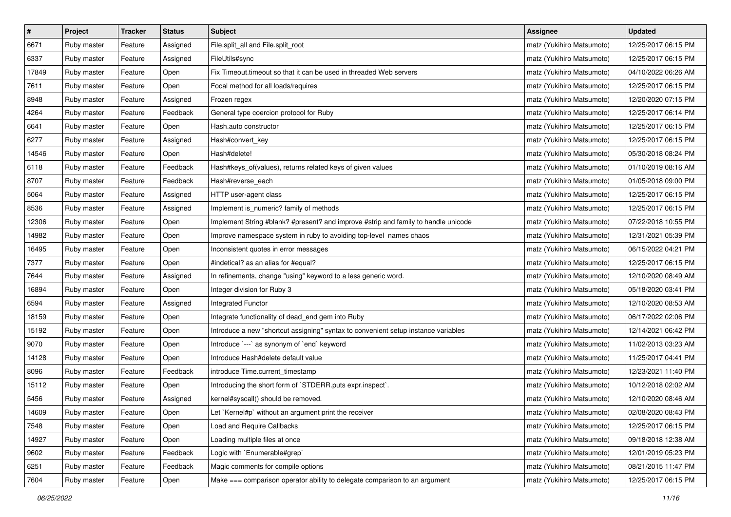| $\pmb{\#}$ | Project     | <b>Tracker</b> | <b>Status</b> | <b>Subject</b>                                                                     | <b>Assignee</b>           | <b>Updated</b>      |
|------------|-------------|----------------|---------------|------------------------------------------------------------------------------------|---------------------------|---------------------|
| 6671       | Ruby master | Feature        | Assigned      | File.split_all and File.split_root                                                 | matz (Yukihiro Matsumoto) | 12/25/2017 06:15 PM |
| 6337       | Ruby master | Feature        | Assigned      | FileUtils#sync                                                                     | matz (Yukihiro Matsumoto) | 12/25/2017 06:15 PM |
| 17849      | Ruby master | Feature        | Open          | Fix Timeout.timeout so that it can be used in threaded Web servers                 | matz (Yukihiro Matsumoto) | 04/10/2022 06:26 AM |
| 7611       | Ruby master | Feature        | Open          | Focal method for all loads/requires                                                | matz (Yukihiro Matsumoto) | 12/25/2017 06:15 PM |
| 8948       | Ruby master | Feature        | Assigned      | Frozen regex                                                                       | matz (Yukihiro Matsumoto) | 12/20/2020 07:15 PM |
| 4264       | Ruby master | Feature        | Feedback      | General type coercion protocol for Ruby                                            | matz (Yukihiro Matsumoto) | 12/25/2017 06:14 PM |
| 6641       | Ruby master | Feature        | Open          | Hash.auto constructor                                                              | matz (Yukihiro Matsumoto) | 12/25/2017 06:15 PM |
| 6277       | Ruby master | Feature        | Assigned      | Hash#convert_key                                                                   | matz (Yukihiro Matsumoto) | 12/25/2017 06:15 PM |
| 14546      | Ruby master | Feature        | Open          | Hash#delete!                                                                       | matz (Yukihiro Matsumoto) | 05/30/2018 08:24 PM |
| 6118       | Ruby master | Feature        | Feedback      | Hash#keys_of(values), returns related keys of given values                         | matz (Yukihiro Matsumoto) | 01/10/2019 08:16 AM |
| 8707       | Ruby master | Feature        | Feedback      | Hash#reverse_each                                                                  | matz (Yukihiro Matsumoto) | 01/05/2018 09:00 PM |
| 5064       | Ruby master | Feature        | Assigned      | HTTP user-agent class                                                              | matz (Yukihiro Matsumoto) | 12/25/2017 06:15 PM |
| 8536       | Ruby master | Feature        | Assigned      | Implement is_numeric? family of methods                                            | matz (Yukihiro Matsumoto) | 12/25/2017 06:15 PM |
| 12306      | Ruby master | Feature        | Open          | Implement String #blank? #present? and improve #strip and family to handle unicode | matz (Yukihiro Matsumoto) | 07/22/2018 10:55 PM |
| 14982      | Ruby master | Feature        | Open          | Improve namespace system in ruby to avoiding top-level names chaos                 | matz (Yukihiro Matsumoto) | 12/31/2021 05:39 PM |
| 16495      | Ruby master | Feature        | Open          | Inconsistent quotes in error messages                                              | matz (Yukihiro Matsumoto) | 06/15/2022 04:21 PM |
| 7377       | Ruby master | Feature        | Open          | #indetical? as an alias for #equal?                                                | matz (Yukihiro Matsumoto) | 12/25/2017 06:15 PM |
| 7644       | Ruby master | Feature        | Assigned      | In refinements, change "using" keyword to a less generic word.                     | matz (Yukihiro Matsumoto) | 12/10/2020 08:49 AM |
| 16894      | Ruby master | Feature        | Open          | Integer division for Ruby 3                                                        | matz (Yukihiro Matsumoto) | 05/18/2020 03:41 PM |
| 6594       | Ruby master | Feature        | Assigned      | Integrated Functor                                                                 | matz (Yukihiro Matsumoto) | 12/10/2020 08:53 AM |
| 18159      | Ruby master | Feature        | Open          | Integrate functionality of dead_end gem into Ruby                                  | matz (Yukihiro Matsumoto) | 06/17/2022 02:06 PM |
| 15192      | Ruby master | Feature        | Open          | Introduce a new "shortcut assigning" syntax to convenient setup instance variables | matz (Yukihiro Matsumoto) | 12/14/2021 06:42 PM |
| 9070       | Ruby master | Feature        | Open          | Introduce `---` as synonym of `end` keyword                                        | matz (Yukihiro Matsumoto) | 11/02/2013 03:23 AM |
| 14128      | Ruby master | Feature        | Open          | Introduce Hash#delete default value                                                | matz (Yukihiro Matsumoto) | 11/25/2017 04:41 PM |
| 8096       | Ruby master | Feature        | Feedback      | introduce Time.current_timestamp                                                   | matz (Yukihiro Matsumoto) | 12/23/2021 11:40 PM |
| 15112      | Ruby master | Feature        | Open          | Introducing the short form of `STDERR.puts expr.inspect`.                          | matz (Yukihiro Matsumoto) | 10/12/2018 02:02 AM |
| 5456       | Ruby master | Feature        | Assigned      | kernel#syscall() should be removed.                                                | matz (Yukihiro Matsumoto) | 12/10/2020 08:46 AM |
| 14609      | Ruby master | Feature        | Open          | Let `Kernel#p` without an argument print the receiver                              | matz (Yukihiro Matsumoto) | 02/08/2020 08:43 PM |
| 7548       | Ruby master | Feature        | Open          | Load and Require Callbacks                                                         | matz (Yukihiro Matsumoto) | 12/25/2017 06:15 PM |
| 14927      | Ruby master | Feature        | Open          | Loading multiple files at once                                                     | matz (Yukihiro Matsumoto) | 09/18/2018 12:38 AM |
| 9602       | Ruby master | Feature        | Feedback      | Logic with `Enumerable#grep`                                                       | matz (Yukihiro Matsumoto) | 12/01/2019 05:23 PM |
| 6251       | Ruby master | Feature        | Feedback      | Magic comments for compile options                                                 | matz (Yukihiro Matsumoto) | 08/21/2015 11:47 PM |
| 7604       | Ruby master | Feature        | Open          | Make === comparison operator ability to delegate comparison to an argument         | matz (Yukihiro Matsumoto) | 12/25/2017 06:15 PM |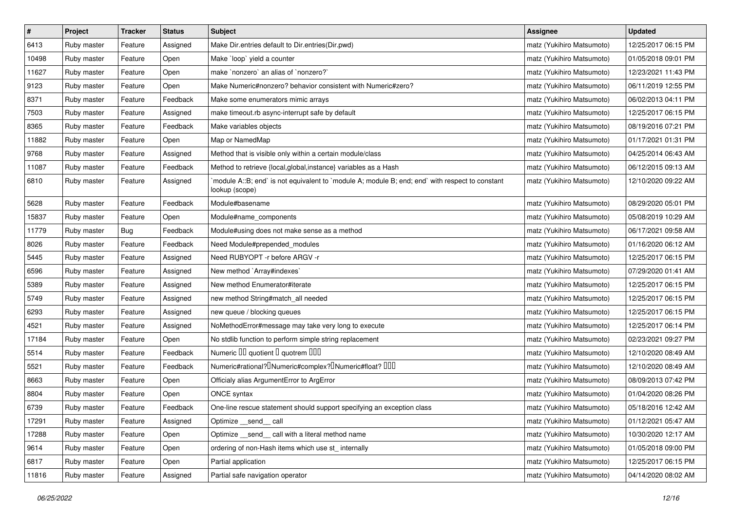| $\sharp$ | Project     | <b>Tracker</b> | <b>Status</b> | <b>Subject</b>                                                                                                   | <b>Assignee</b>           | <b>Updated</b>      |
|----------|-------------|----------------|---------------|------------------------------------------------------------------------------------------------------------------|---------------------------|---------------------|
| 6413     | Ruby master | Feature        | Assigned      | Make Dir.entries default to Dir.entries(Dir.pwd)                                                                 | matz (Yukihiro Matsumoto) | 12/25/2017 06:15 PM |
| 10498    | Ruby master | Feature        | Open          | Make `loop` yield a counter                                                                                      | matz (Yukihiro Matsumoto) | 01/05/2018 09:01 PM |
| 11627    | Ruby master | Feature        | Open          | make `nonzero` an alias of `nonzero?`                                                                            | matz (Yukihiro Matsumoto) | 12/23/2021 11:43 PM |
| 9123     | Ruby master | Feature        | Open          | Make Numeric#nonzero? behavior consistent with Numeric#zero?                                                     | matz (Yukihiro Matsumoto) | 06/11/2019 12:55 PM |
| 8371     | Ruby master | Feature        | Feedback      | Make some enumerators mimic arrays                                                                               | matz (Yukihiro Matsumoto) | 06/02/2013 04:11 PM |
| 7503     | Ruby master | Feature        | Assigned      | make timeout.rb async-interrupt safe by default                                                                  | matz (Yukihiro Matsumoto) | 12/25/2017 06:15 PM |
| 8365     | Ruby master | Feature        | Feedback      | Make variables objects                                                                                           | matz (Yukihiro Matsumoto) | 08/19/2016 07:21 PM |
| 11882    | Ruby master | Feature        | Open          | Map or NamedMap                                                                                                  | matz (Yukihiro Matsumoto) | 01/17/2021 01:31 PM |
| 9768     | Ruby master | Feature        | Assigned      | Method that is visible only within a certain module/class                                                        | matz (Yukihiro Matsumoto) | 04/25/2014 06:43 AM |
| 11087    | Ruby master | Feature        | Feedback      | Method to retrieve {local, global, instance} variables as a Hash                                                 | matz (Yukihiro Matsumoto) | 06/12/2015 09:13 AM |
| 6810     | Ruby master | Feature        | Assigned      | module A::B; end` is not equivalent to `module A; module B; end; end` with respect to constant<br>lookup (scope) | matz (Yukihiro Matsumoto) | 12/10/2020 09:22 AM |
| 5628     | Ruby master | Feature        | Feedback      | Module#basename                                                                                                  | matz (Yukihiro Matsumoto) | 08/29/2020 05:01 PM |
| 15837    | Ruby master | Feature        | Open          | Module#name_components                                                                                           | matz (Yukihiro Matsumoto) | 05/08/2019 10:29 AM |
| 11779    | Ruby master | <b>Bug</b>     | Feedback      | Module#using does not make sense as a method                                                                     | matz (Yukihiro Matsumoto) | 06/17/2021 09:58 AM |
| 8026     | Ruby master | Feature        | Feedback      | Need Module#prepended modules                                                                                    | matz (Yukihiro Matsumoto) | 01/16/2020 06:12 AM |
| 5445     | Ruby master | Feature        | Assigned      | Need RUBYOPT -r before ARGV -r                                                                                   | matz (Yukihiro Matsumoto) | 12/25/2017 06:15 PM |
| 6596     | Ruby master | Feature        | Assigned      | New method `Array#indexes`                                                                                       | matz (Yukihiro Matsumoto) | 07/29/2020 01:41 AM |
| 5389     | Ruby master | Feature        | Assigned      | New method Enumerator#iterate                                                                                    | matz (Yukihiro Matsumoto) | 12/25/2017 06:15 PM |
| 5749     | Ruby master | Feature        | Assigned      | new method String#match_all needed                                                                               | matz (Yukihiro Matsumoto) | 12/25/2017 06:15 PM |
| 6293     | Ruby master | Feature        | Assigned      | new queue / blocking queues                                                                                      | matz (Yukihiro Matsumoto) | 12/25/2017 06:15 PM |
| 4521     | Ruby master | Feature        | Assigned      | NoMethodError#message may take very long to execute                                                              | matz (Yukihiro Matsumoto) | 12/25/2017 06:14 PM |
| 17184    | Ruby master | Feature        | Open          | No stdlib function to perform simple string replacement                                                          | matz (Yukihiro Matsumoto) | 02/23/2021 09:27 PM |
| 5514     | Ruby master | Feature        | Feedback      | Numeric III quotient I quotrem IIII                                                                              | matz (Yukihiro Matsumoto) | 12/10/2020 08:49 AM |
| 5521     | Ruby master | Feature        | Feedback      | Numeric#rational? <sup>[]</sup> Numeric#complex? <sup>[]</sup> Numeric#float? <sup>[10]</sup>                    | matz (Yukihiro Matsumoto) | 12/10/2020 08:49 AM |
| 8663     | Ruby master | Feature        | Open          | Officialy alias ArgumentError to ArgError                                                                        | matz (Yukihiro Matsumoto) | 08/09/2013 07:42 PM |
| 8804     | Ruby master | Feature        | Open          | ONCE syntax                                                                                                      | matz (Yukihiro Matsumoto) | 01/04/2020 08:26 PM |
| 6739     | Ruby master | Feature        | Feedback      | One-line rescue statement should support specifying an exception class                                           | matz (Yukihiro Matsumoto) | 05/18/2016 12:42 AM |
| 17291    | Ruby master | Feature        | Assigned      | Optimize __send__ call                                                                                           | matz (Yukihiro Matsumoto) | 01/12/2021 05:47 AM |
| 17288    | Ruby master | Feature        | Open          | Optimize _send_call with a literal method name                                                                   | matz (Yukihiro Matsumoto) | 10/30/2020 12:17 AM |
| 9614     | Ruby master | Feature        | Open          | ordering of non-Hash items which use st_internally                                                               | matz (Yukihiro Matsumoto) | 01/05/2018 09:00 PM |
| 6817     | Ruby master | Feature        | Open          | Partial application                                                                                              | matz (Yukihiro Matsumoto) | 12/25/2017 06:15 PM |
| 11816    | Ruby master | Feature        | Assigned      | Partial safe navigation operator                                                                                 | matz (Yukihiro Matsumoto) | 04/14/2020 08:02 AM |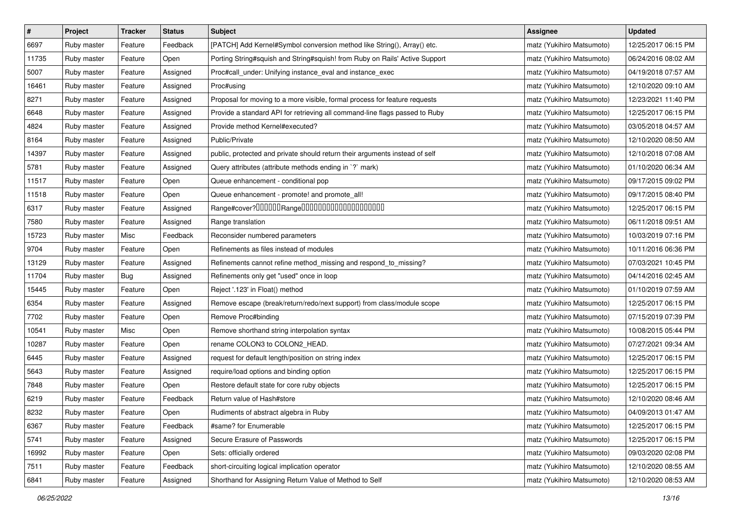| $\pmb{\#}$ | Project     | <b>Tracker</b> | <b>Status</b> | <b>Subject</b>                                                              | Assignee                  | <b>Updated</b>      |
|------------|-------------|----------------|---------------|-----------------------------------------------------------------------------|---------------------------|---------------------|
| 6697       | Ruby master | Feature        | Feedback      | [PATCH] Add Kernel#Symbol conversion method like String(), Array() etc.     | matz (Yukihiro Matsumoto) | 12/25/2017 06:15 PM |
| 11735      | Ruby master | Feature        | Open          | Porting String#squish and String#squish! from Ruby on Rails' Active Support | matz (Yukihiro Matsumoto) | 06/24/2016 08:02 AM |
| 5007       | Ruby master | Feature        | Assigned      | Proc#call_under: Unifying instance_eval and instance_exec                   | matz (Yukihiro Matsumoto) | 04/19/2018 07:57 AM |
| 16461      | Ruby master | Feature        | Assigned      | Proc#using                                                                  | matz (Yukihiro Matsumoto) | 12/10/2020 09:10 AM |
| 8271       | Ruby master | Feature        | Assigned      | Proposal for moving to a more visible, formal process for feature requests  | matz (Yukihiro Matsumoto) | 12/23/2021 11:40 PM |
| 6648       | Ruby master | Feature        | Assigned      | Provide a standard API for retrieving all command-line flags passed to Ruby | matz (Yukihiro Matsumoto) | 12/25/2017 06:15 PM |
| 4824       | Ruby master | Feature        | Assigned      | Provide method Kernel#executed?                                             | matz (Yukihiro Matsumoto) | 03/05/2018 04:57 AM |
| 8164       | Ruby master | Feature        | Assigned      | Public/Private                                                              | matz (Yukihiro Matsumoto) | 12/10/2020 08:50 AM |
| 14397      | Ruby master | Feature        | Assigned      | public, protected and private should return their arguments instead of self | matz (Yukihiro Matsumoto) | 12/10/2018 07:08 AM |
| 5781       | Ruby master | Feature        | Assigned      | Query attributes (attribute methods ending in `?` mark)                     | matz (Yukihiro Matsumoto) | 01/10/2020 06:34 AM |
| 11517      | Ruby master | Feature        | Open          | Queue enhancement - conditional pop                                         | matz (Yukihiro Matsumoto) | 09/17/2015 09:02 PM |
| 11518      | Ruby master | Feature        | Open          | Queue enhancement - promote! and promote_all!                               | matz (Yukihiro Matsumoto) | 09/17/2015 08:40 PM |
| 6317       | Ruby master | Feature        | Assigned      | Range#cover?000000Range00000000000000000000                                 | matz (Yukihiro Matsumoto) | 12/25/2017 06:15 PM |
| 7580       | Ruby master | Feature        | Assigned      | Range translation                                                           | matz (Yukihiro Matsumoto) | 06/11/2018 09:51 AM |
| 15723      | Ruby master | Misc           | Feedback      | Reconsider numbered parameters                                              | matz (Yukihiro Matsumoto) | 10/03/2019 07:16 PM |
| 9704       | Ruby master | Feature        | Open          | Refinements as files instead of modules                                     | matz (Yukihiro Matsumoto) | 10/11/2016 06:36 PM |
| 13129      | Ruby master | Feature        | Assigned      | Refinements cannot refine method_missing and respond_to_missing?            | matz (Yukihiro Matsumoto) | 07/03/2021 10:45 PM |
| 11704      | Ruby master | Bug            | Assigned      | Refinements only get "used" once in loop                                    | matz (Yukihiro Matsumoto) | 04/14/2016 02:45 AM |
| 15445      | Ruby master | Feature        | Open          | Reject '.123' in Float() method                                             | matz (Yukihiro Matsumoto) | 01/10/2019 07:59 AM |
| 6354       | Ruby master | Feature        | Assigned      | Remove escape (break/return/redo/next support) from class/module scope      | matz (Yukihiro Matsumoto) | 12/25/2017 06:15 PM |
| 7702       | Ruby master | Feature        | Open          | Remove Proc#binding                                                         | matz (Yukihiro Matsumoto) | 07/15/2019 07:39 PM |
| 10541      | Ruby master | Misc           | Open          | Remove shorthand string interpolation syntax                                | matz (Yukihiro Matsumoto) | 10/08/2015 05:44 PM |
| 10287      | Ruby master | Feature        | Open          | rename COLON3 to COLON2_HEAD.                                               | matz (Yukihiro Matsumoto) | 07/27/2021 09:34 AM |
| 6445       | Ruby master | Feature        | Assigned      | request for default length/position on string index                         | matz (Yukihiro Matsumoto) | 12/25/2017 06:15 PM |
| 5643       | Ruby master | Feature        | Assigned      | require/load options and binding option                                     | matz (Yukihiro Matsumoto) | 12/25/2017 06:15 PM |
| 7848       | Ruby master | Feature        | Open          | Restore default state for core ruby objects                                 | matz (Yukihiro Matsumoto) | 12/25/2017 06:15 PM |
| 6219       | Ruby master | Feature        | Feedback      | Return value of Hash#store                                                  | matz (Yukihiro Matsumoto) | 12/10/2020 08:46 AM |
| 8232       | Ruby master | Feature        | Open          | Rudiments of abstract algebra in Ruby                                       | matz (Yukihiro Matsumoto) | 04/09/2013 01:47 AM |
| 6367       | Ruby master | Feature        | Feedback      | #same? for Enumerable                                                       | matz (Yukihiro Matsumoto) | 12/25/2017 06:15 PM |
| 5741       | Ruby master | Feature        | Assigned      | Secure Erasure of Passwords                                                 | matz (Yukihiro Matsumoto) | 12/25/2017 06:15 PM |
| 16992      | Ruby master | Feature        | Open          | Sets: officially ordered                                                    | matz (Yukihiro Matsumoto) | 09/03/2020 02:08 PM |
| 7511       | Ruby master | Feature        | Feedback      | short-circuiting logical implication operator                               | matz (Yukihiro Matsumoto) | 12/10/2020 08:55 AM |
| 6841       | Ruby master | Feature        | Assigned      | Shorthand for Assigning Return Value of Method to Self                      | matz (Yukihiro Matsumoto) | 12/10/2020 08:53 AM |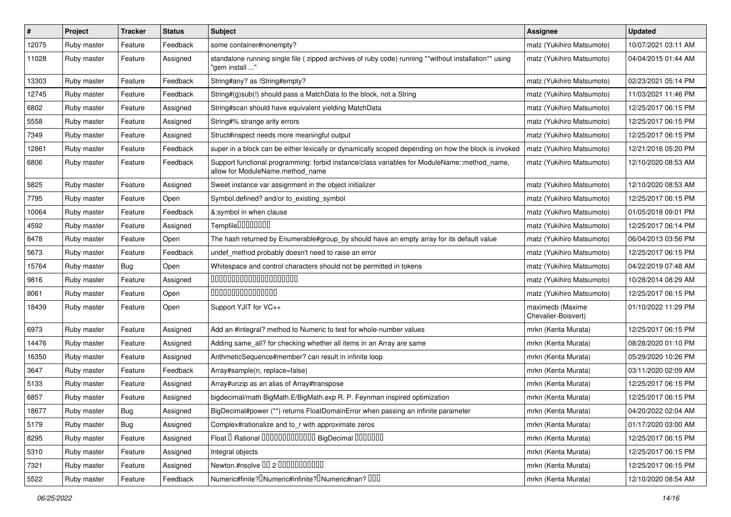| $\#$  | Project     | <b>Tracker</b> | <b>Status</b> | Subject                                                                                                                          | Assignee                                | <b>Updated</b>      |
|-------|-------------|----------------|---------------|----------------------------------------------------------------------------------------------------------------------------------|-----------------------------------------|---------------------|
| 12075 | Ruby master | Feature        | Feedback      | some container#nonempty?                                                                                                         | matz (Yukihiro Matsumoto)               | 10/07/2021 03:11 AM |
| 11028 | Ruby master | Feature        | Assigned      | standalone running single file ( zipped archives of ruby code) running **without installation** using<br>" 'aem install          | matz (Yukihiro Matsumoto)               | 04/04/2015 01:44 AM |
| 13303 | Ruby master | Feature        | Feedback      | String#any? as !String#empty?                                                                                                    | matz (Yukihiro Matsumoto)               | 02/23/2021 05:14 PM |
| 12745 | Ruby master | Feature        | Feedback      | String#(g)sub(!) should pass a MatchData to the block, not a String                                                              | matz (Yukihiro Matsumoto)               | 11/03/2021 11:46 PM |
| 6802  | Ruby master | Feature        | Assigned      | String#scan should have equivalent yielding MatchData                                                                            | matz (Yukihiro Matsumoto)               | 12/25/2017 06:15 PM |
| 5558  | Ruby master | Feature        | Assigned      | String#% strange arity errors                                                                                                    | matz (Yukihiro Matsumoto)               | 12/25/2017 06:15 PM |
| 7349  | Ruby master | Feature        | Assigned      | Struct#inspect needs more meaningful output                                                                                      | matz (Yukihiro Matsumoto)               | 12/25/2017 06:15 PM |
| 12861 | Ruby master | Feature        | Feedback      | super in a block can be either lexically or dynamically scoped depending on how the block is invoked                             | matz (Yukihiro Matsumoto)               | 12/21/2016 05:20 PM |
| 6806  | Ruby master | Feature        | Feedback      | Support functional programming: forbid instance/class variables for ModuleName::method_name,<br>allow for ModuleName.method name | matz (Yukihiro Matsumoto)               | 12/10/2020 08:53 AM |
| 5825  | Ruby master | Feature        | Assigned      | Sweet instance var assignment in the object initializer                                                                          | matz (Yukihiro Matsumoto)               | 12/10/2020 08:53 AM |
| 7795  | Ruby master | Feature        | Open          | Symbol.defined? and/or to_existing_symbol                                                                                        | matz (Yukihiro Matsumoto)               | 12/25/2017 06:15 PM |
| 10064 | Ruby master | Feature        | Feedback      | &:symbol in when clause                                                                                                          | matz (Yukihiro Matsumoto)               | 01/05/2018 09:01 PM |
| 4592  | Ruby master | Feature        | Assigned      | Tempfile0000000                                                                                                                  | matz (Yukihiro Matsumoto)               | 12/25/2017 06:14 PM |
| 8478  | Ruby master | Feature        | Open          | The hash returned by Enumerable#group_by should have an empty array for its default value                                        | matz (Yukihiro Matsumoto)               | 06/04/2013 03:56 PM |
| 5673  | Ruby master | Feature        | Feedback      | undef_method probably doesn't need to raise an error                                                                             | matz (Yukihiro Matsumoto)               | 12/25/2017 06:15 PM |
| 15764 | Ruby master | Bug            | Open          | Whitespace and control characters should not be permitted in tokens                                                              | matz (Yukihiro Matsumoto)               | 04/22/2019 07:48 AM |
| 9816  | Ruby master | Feature        | Assigned      | 00000000000000000000                                                                                                             | matz (Yukihiro Matsumoto)               | 10/28/2014 08:29 AM |
| 8061  | Ruby master | Feature        | Open          | 000000000000000                                                                                                                  | matz (Yukihiro Matsumoto)               | 12/25/2017 06:15 PM |
| 18439 | Ruby master | Feature        | Open          | Support YJIT for VC++                                                                                                            | maximecb (Maxime<br>Chevalier-Boisvert) | 01/10/2022 11:29 PM |
| 6973  | Ruby master | Feature        | Assigned      | Add an #integral? method to Numeric to test for whole-number values                                                              | mrkn (Kenta Murata)                     | 12/25/2017 06:15 PM |
| 14476 | Ruby master | Feature        | Assigned      | Adding same_all? for checking whether all items in an Array are same                                                             | mrkn (Kenta Murata)                     | 08/28/2020 01:10 PM |
| 16350 | Ruby master | Feature        | Assigned      | ArithmeticSequence#member? can result in infinite loop                                                                           | mrkn (Kenta Murata)                     | 05/29/2020 10:26 PM |
| 3647  | Ruby master | Feature        | Feedback      | Array#sample(n, replace=false)                                                                                                   | mrkn (Kenta Murata)                     | 03/11/2020 02:09 AM |
| 5133  | Ruby master | Feature        | Assigned      | Array#unzip as an alias of Array#transpose                                                                                       | mrkn (Kenta Murata)                     | 12/25/2017 06:15 PM |
| 6857  | Ruby master | Feature        | Assigned      | bigdecimal/math BigMath.E/BigMath.exp R. P. Feynman inspired optimization                                                        | mrkn (Kenta Murata)                     | 12/25/2017 06:15 PM |
| 18677 | Ruby master | Bug            | Assigned      | BigDecimal#power (**) returns FloatDomainError when passing an infinite parameter                                                | mrkn (Kenta Murata)                     | 04/20/2022 02:04 AM |
| 5179  | Ruby master | Bug            | Assigned      | Complex#rationalize and to_r with approximate zeros                                                                              | mrkn (Kenta Murata)                     | 01/17/2020 03:00 AM |
| 8295  | Ruby master | Feature        | Assigned      | Float I Rational 0000000000000 BigDecimal 0000000                                                                                | mrkn (Kenta Murata)                     | 12/25/2017 06:15 PM |
| 5310  | Ruby master | Feature        | Assigned      | Integral objects                                                                                                                 | mrkn (Kenta Murata)                     | 12/25/2017 06:15 PM |
| 7321  | Ruby master | Feature        | Assigned      | Newton.#nsolve 00 2 0000000000                                                                                                   | mrkn (Kenta Murata)                     | 12/25/2017 06:15 PM |
| 5522  | Ruby master | Feature        | Feedback      | Numeric#finite? Numeric#infinite? INumeric#nan? IIII                                                                             | mrkn (Kenta Murata)                     | 12/10/2020 08:54 AM |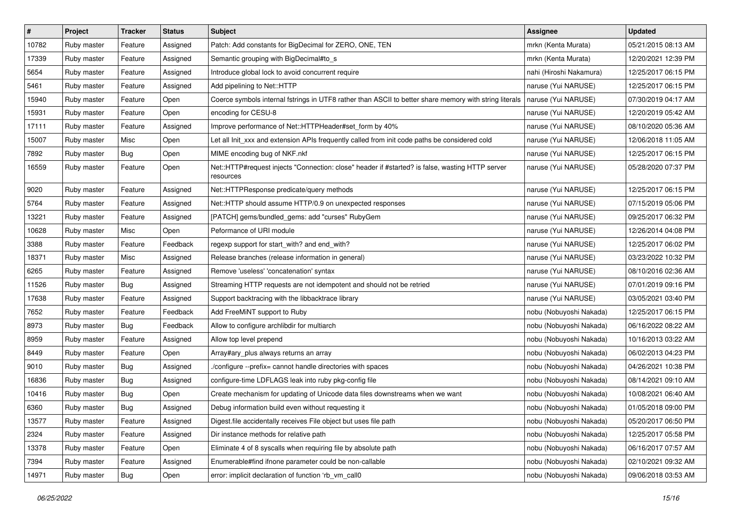| $\pmb{\#}$ | Project     | <b>Tracker</b> | <b>Status</b> | Subject                                                                                                      | <b>Assignee</b>         | <b>Updated</b>      |
|------------|-------------|----------------|---------------|--------------------------------------------------------------------------------------------------------------|-------------------------|---------------------|
| 10782      | Ruby master | Feature        | Assigned      | Patch: Add constants for BigDecimal for ZERO, ONE, TEN                                                       | mrkn (Kenta Murata)     | 05/21/2015 08:13 AM |
| 17339      | Ruby master | Feature        | Assigned      | Semantic grouping with BigDecimal#to_s                                                                       | mrkn (Kenta Murata)     | 12/20/2021 12:39 PM |
| 5654       | Ruby master | Feature        | Assigned      | Introduce global lock to avoid concurrent require                                                            | nahi (Hiroshi Nakamura) | 12/25/2017 06:15 PM |
| 5461       | Ruby master | Feature        | Assigned      | Add pipelining to Net::HTTP                                                                                  | naruse (Yui NARUSE)     | 12/25/2017 06:15 PM |
| 15940      | Ruby master | Feature        | Open          | Coerce symbols internal fstrings in UTF8 rather than ASCII to better share memory with string literals       | naruse (Yui NARUSE)     | 07/30/2019 04:17 AM |
| 15931      | Ruby master | Feature        | Open          | encoding for CESU-8                                                                                          | naruse (Yui NARUSE)     | 12/20/2019 05:42 AM |
| 17111      | Ruby master | Feature        | Assigned      | Improve performance of Net::HTTPHeader#set_form by 40%                                                       | naruse (Yui NARUSE)     | 08/10/2020 05:36 AM |
| 15007      | Ruby master | Misc           | Open          | Let all Init xxx and extension APIs frequently called from init code paths be considered cold                | naruse (Yui NARUSE)     | 12/06/2018 11:05 AM |
| 7892       | Ruby master | <b>Bug</b>     | Open          | MIME encoding bug of NKF.nkf                                                                                 | naruse (Yui NARUSE)     | 12/25/2017 06:15 PM |
| 16559      | Ruby master | Feature        | Open          | Net::HTTP#request injects "Connection: close" header if #started? is false, wasting HTTP server<br>resources | naruse (Yui NARUSE)     | 05/28/2020 07:37 PM |
| 9020       | Ruby master | Feature        | Assigned      | Net::HTTPResponse predicate/query methods                                                                    | naruse (Yui NARUSE)     | 12/25/2017 06:15 PM |
| 5764       | Ruby master | Feature        | Assigned      | Net::HTTP should assume HTTP/0.9 on unexpected responses                                                     | naruse (Yui NARUSE)     | 07/15/2019 05:06 PM |
| 13221      | Ruby master | Feature        | Assigned      | [PATCH] gems/bundled_gems: add "curses" RubyGem                                                              | naruse (Yui NARUSE)     | 09/25/2017 06:32 PM |
| 10628      | Ruby master | Misc           | Open          | Peformance of URI module                                                                                     | naruse (Yui NARUSE)     | 12/26/2014 04:08 PM |
| 3388       | Ruby master | Feature        | Feedback      | regexp support for start_with? and end_with?                                                                 | naruse (Yui NARUSE)     | 12/25/2017 06:02 PM |
| 18371      | Ruby master | Misc           | Assigned      | Release branches (release information in general)                                                            | naruse (Yui NARUSE)     | 03/23/2022 10:32 PM |
| 6265       | Ruby master | Feature        | Assigned      | Remove 'useless' 'concatenation' syntax                                                                      | naruse (Yui NARUSE)     | 08/10/2016 02:36 AM |
| 11526      | Ruby master | <b>Bug</b>     | Assigned      | Streaming HTTP requests are not idempotent and should not be retried                                         | naruse (Yui NARUSE)     | 07/01/2019 09:16 PM |
| 17638      | Ruby master | Feature        | Assigned      | Support backtracing with the libbacktrace library                                                            | naruse (Yui NARUSE)     | 03/05/2021 03:40 PM |
| 7652       | Ruby master | Feature        | Feedback      | Add FreeMiNT support to Ruby                                                                                 | nobu (Nobuyoshi Nakada) | 12/25/2017 06:15 PM |
| 8973       | Ruby master | <b>Bug</b>     | Feedback      | Allow to configure archlibdir for multiarch                                                                  | nobu (Nobuyoshi Nakada) | 06/16/2022 08:22 AM |
| 8959       | Ruby master | Feature        | Assigned      | Allow top level prepend                                                                                      | nobu (Nobuyoshi Nakada) | 10/16/2013 03:22 AM |
| 8449       | Ruby master | Feature        | Open          | Array#ary_plus always returns an array                                                                       | nobu (Nobuyoshi Nakada) | 06/02/2013 04:23 PM |
| 9010       | Ruby master | Bug            | Assigned      | /configure --prefix= cannot handle directories with spaces                                                   | nobu (Nobuyoshi Nakada) | 04/26/2021 10:38 PM |
| 16836      | Ruby master | Bug            | Assigned      | configure-time LDFLAGS leak into ruby pkg-config file                                                        | nobu (Nobuyoshi Nakada) | 08/14/2021 09:10 AM |
| 10416      | Ruby master | <b>Bug</b>     | Open          | Create mechanism for updating of Unicode data files downstreams when we want                                 | nobu (Nobuyoshi Nakada) | 10/08/2021 06:40 AM |
| 6360       | Ruby master | <b>Bug</b>     | Assigned      | Debug information build even without requesting it                                                           | nobu (Nobuyoshi Nakada) | 01/05/2018 09:00 PM |
| 13577      | Ruby master | Feature        | Assigned      | Digest file accidentally receives File object but uses file path                                             | nobu (Nobuyoshi Nakada) | 05/20/2017 06:50 PM |
| 2324       | Ruby master | Feature        | Assigned      | Dir instance methods for relative path                                                                       | nobu (Nobuyoshi Nakada) | 12/25/2017 05:58 PM |
| 13378      | Ruby master | Feature        | Open          | Eliminate 4 of 8 syscalls when requiring file by absolute path                                               | nobu (Nobuyoshi Nakada) | 06/16/2017 07:57 AM |
| 7394       | Ruby master | Feature        | Assigned      | Enumerable#find ifnone parameter could be non-callable                                                       | nobu (Nobuyoshi Nakada) | 02/10/2021 09:32 AM |
| 14971      | Ruby master | <b>Bug</b>     | Open          | error: implicit declaration of function 'rb_vm_call0                                                         | nobu (Nobuyoshi Nakada) | 09/06/2018 03:53 AM |